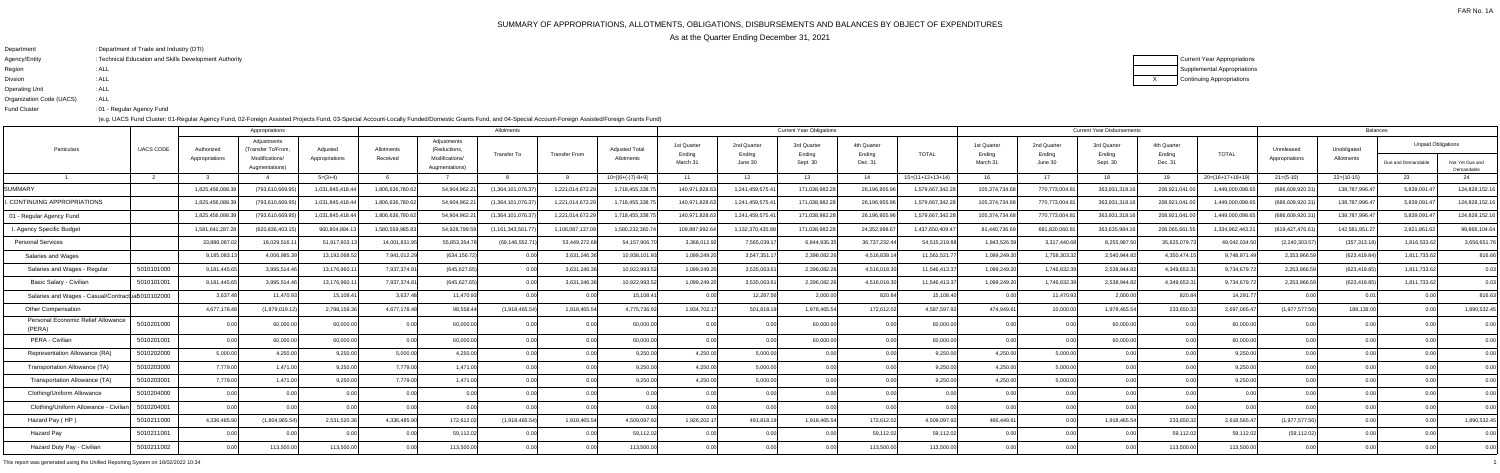# SUMMARY OF APPROPRIATIONS, ALLOTMENTS, OBLIGATIONS, DISBURSEMENTS AND BALANCES BY OBJECT OF EXPENDITURES

As at the Quarter Ending December 31, 2021

XCurrent Year Appropriations Supplemental AppropriationsContinuing Appropriations

| : Department of Trade and Industry (DTI)               |
|--------------------------------------------------------|
| : Technical Education and Skills Development Authority |
| : ALL                                                  |
| : ALL                                                  |
| : ALL                                                  |
| : ALL                                                  |
| :01 - Regular Agency Fund                              |
|                                                        |

(e.g. UACS Fund Cluster: 01-Regular Agency Fund, 02-Foreign Assisted Projects Fund, 03-Special Account-Locally Funded/Domestic Grants Fund, and 04-Special Account-Foreign Assisted/Foreign Grants Fund)

|                                                   |                  |                              | Appropriations                                                        |                            |                        |                                                                 | Allotments         |                      |                                     |                                   |                                  | <b>Current Year Obligations</b>   |                                  |                    |                                   |                                  | <b>Current Year Disbursements</b> |                                  |                    |                              | <b>Balances</b>           |                                                 |                               |
|---------------------------------------------------|------------------|------------------------------|-----------------------------------------------------------------------|----------------------------|------------------------|-----------------------------------------------------------------|--------------------|----------------------|-------------------------------------|-----------------------------------|----------------------------------|-----------------------------------|----------------------------------|--------------------|-----------------------------------|----------------------------------|-----------------------------------|----------------------------------|--------------------|------------------------------|---------------------------|-------------------------------------------------|-------------------------------|
| Particulars                                       | <b>UACS CODE</b> | Authorized<br>Appropriations | Adjustments<br>(Transfer To/From,<br>Modifications/<br>Augmentations) | Adjusted<br>Appropriations | Allotments<br>Received | Adjustments<br>(Reductions,<br>Modifications/<br>Augmentations) | <b>Transfer To</b> | <b>Transfer From</b> | <b>Adjusted Total</b><br>Allotments | 1st Quarter<br>Ending<br>March 31 | 2nd Quarter<br>Ending<br>June 30 | 3rd Quarter<br>Ending<br>Sept. 30 | 4th Quarter<br>Ending<br>Dec. 31 | <b>TOTAL</b>       | 1st Quarter<br>Ending<br>March 31 | 2nd Quarter<br>Ending<br>June 30 | 3rd Quarter<br>Ending<br>Sept. 30 | 4th Quarter<br>Ending<br>Dec. 31 | <b>TOTAL</b>       | Unreleased<br>Appropriations | Unobligated<br>Allotments | <b>Unpaid Obligations</b><br>Due and Demandable | Not Yet Due and<br>Demandable |
|                                                   | $\overline{2}$   |                              |                                                                       | $5=(3+4)$                  |                        |                                                                 |                    | <b>Q</b>             | $10=[{6+(-)}7-8+9]$                 | 11                                | 12                               | 13                                | 14                               | $15=(11+12+13+14)$ | 16                                | 17                               | 18                                | 19                               | $20=(16+17+18+19)$ | $21=(5-10)$                  | $22=(10-15)$              | -23-                                            |                               |
| <b>SUMMARY</b>                                    |                  | 1,825,456,088.               | (793,610,669.9                                                        | 1,031,845,418.44           | 1,806,636,780.62       | 54,904,962.2                                                    | (1,364,101,076.37  | 1,221,014,672.2      | 1,718,455,338.                      | 140,971,828.6                     | 1,241,459,575.                   | 171,038,982.28                    | 26,196,955.96                    | 1,579,667,342.28   | 105,374,734.68                    | 770,773,004.81                   | 363,931,318.16                    | 208,921,041.00                   | 1,449,000,098.65   | (686,609,920.3               | 138,787,996.47            | 5,839,091.                                      | 124,828,152.16                |
| . CONTINUING APPROPRIATIONS                       |                  | 1,825,456,088.               | (793,610,669.9                                                        | 1,031,845,418.44           | 1,806,636,780.6        | 54,904,962.2                                                    | (1,364,101,076.3   | 1,221,014,672.2      | 1,718,455,338.                      | 140,971,828.6                     | 1,241,459,575.                   | 171,038,982.28                    | 26,196,955.96                    | 1,579,667,342.28   | 105,374,734.68                    | 770,773,004.81                   | 363,931,318.16                    | 208,921,041.00                   | 1,449,000,098.6    | (686,609,920.3               | 138,787,996.47            | 5,839,091.4                                     | 124,828,152.16                |
| 01 - Regular Agency Fund                          |                  | 1,825,456,088.               | (793,610,669.9                                                        | 1,031,845,418.44           | 1,806,636,780.62       | 54,904,962.2                                                    | (1,364,101,076.3)  | 1,221,014,672.2      | 1,718,455,338.7                     | 140,971,828.6                     | 1,241,459,575.4                  | 171,038,982.28                    | 26,196,955.96                    | 1,579,667,342.28   | 105,374,734.68                    | 770,773,004.81                   | 363,931,318.16                    | 208,921,041.00                   | 1,449,000,098.65   | (686,609,920.31              | 138,787,996.47            | 5,839,091.4                                     | 124,828,152.16                |
| I. Agency Specific Budget                         |                  | 1,581,641,287.               | (620,836,403.                                                         | 960,804,884.               | 1,580,559,985.8        | 54,928,799.59                                                   | (1, 161, 343, 561) | 1,106,087,137.       | 1,580,232,360.7                     | 109,887,992.6                     | 1,132,370,435.8                  | 171,038,982.28                    | 24,352,998.67                    | 1,437,650,409.47   | 81,440,736.69                     | 681,820,060.81                   | 363,635,984.16                    | 208,065,661.5                    | 1,334,962,443.21   | (619,427,476.61              | 142,581,951.27            | 2,821,861.62                                    | 99,866,104.64                 |
| <b>Personal Services</b>                          |                  | 33,888,087                   | 18,029,516.1                                                          | 51,917,603.1               | 14,001,831.9           | 55,853,354.7                                                    | (69, 146, 552.7)   | 53,449,272.6         | 54,157,906.                         | 3,368,012.                        | 7,565,039.1                      | 6,844,935.3                       | 36,737,232.44                    | 54,515,219.88      | 1,843,526.59                      | 3,317,440.68                     | 8,255,987.50                      | 35,625,079.73                    | 49,042,034.50      | (2,240,303.57)               | (357,313.18)              | 1,816,533.6                                     | 3,656,651.76                  |
| Salaries and Wages                                |                  | 9,185,083.                   | 4,006,985.3                                                           | 13,192,068.5               | 7,941,012.2            | (634,156.72                                                     |                    | 3,631,246.           | 10,938,101.                         | 1,099,249.2                       | 3,547,351.                       | 2,398,082.2                       | 4,516,839.1                      | 11,561,521.77      | 1,099,249.20                      | 1,758,303.32                     | 2,540,944.82                      | 4,350,474.15                     | 9,748,971.49       | 2,253,966.5                  | (623, 419.84)             | 1,811,733.62                                    | 816.66                        |
| Salaries and Wages - Regula                       | 5010101000       | 9,181,445.6                  | 3,995,514.46                                                          | 13,176,960.                | 7,937,374.8            | (645, 627.65)                                                   |                    | 3,631,246.           | 10,922,993.5                        | 1,099,249.2                       | 3,535,063.6                      | 2,396,082.26                      | 4,516,018.30                     | 11,546,413.37      | 1,099,249.20                      | 1,746,832.39                     | 2,538,944.82                      | 4,349,653.31                     | 9,734,679.72       | 2,253,966.59                 | (623, 419.85)             | 1,811,733.62                                    | 0.03                          |
| Basic Salary - Civilian                           | 5010101001       | 9,181,445.6                  | 3,995,514.4                                                           | 13,176,960.                | 7,937,374.8            | (645,627.65                                                     |                    | 3,631,246.           | 10,922,993.                         | 1,099,249.2                       | 3,535,063.6                      | 2,396,082.26                      | 4,516,018.30                     | 11,546,413.37      | 1,099,249.20                      | 1,746,832.39                     | 2,538,944.82                      | 4,349,653.31                     | 9,734,679.72       | 2,253,966.59                 | (623, 419.85)             | 1,811,733.62                                    | 0.03                          |
| Salaries and Wages - Casual/Contractual5010102000 |                  | 3,637.4                      | 11,470.93                                                             | 15,108.4                   | 3,637.48               | 11,470.93                                                       |                    |                      | 15,108.4                            |                                   | 12,287.56                        | 2,000.00                          | 820.84                           | 15,108.40          | 0.00                              | 11,470.93                        | 2,000.00                          | 820.84                           | 14,291.7           |                              | 0.01                      |                                                 | 816.63                        |
| <b>Other Compensation</b>                         |                  | 4,677,178.48                 | (1,879,019.12)                                                        | 2,798,159.36               | 4,677,178.48           | 98,558.44                                                       | (1,918,465.54)     | 1,918,465.5          | 4,775,736.92                        | 1,934,702.1                       | 501,818.1                        | 1,978,465.54                      | 172,612.02                       | 4,587,597.92       | 474,949.61                        | 10,000.00                        | 1,978,465.54                      | 233,650.32                       | 2,697,065.47       | (1,977,577.56)               | 188,139.00                |                                                 | 1,890,532.45                  |
| Personal Economic Relief Allowance<br>(PERA)      | 5010201000       |                              | 60,000.0                                                              | 60,000.00                  | 0.00                   | 60,000.0                                                        |                    |                      | 60,000.                             |                                   |                                  | 60,000.00                         | 0.00                             | 60,000.00          | 0.00                              |                                  | 60,000.00                         | 0.OO                             | 60,000.00          |                              |                           |                                                 | 0.00                          |
| PERA - Civilian                                   | 5010201001       |                              | 60,000.00                                                             | 60,000.00                  | 0.00                   | 60,000.0                                                        |                    |                      | 60,000.0                            |                                   |                                  | 60,000.00                         | 0.00                             | 60,000.00          | 0.00                              |                                  | 60,000.00                         | 0.00                             | 60,000.00          |                              |                           |                                                 | 0.00                          |
| Representation Allowance (RA)                     | 5010202000       | 5,000.00                     | 4,250.00                                                              | 9,250.00                   | 5,000.00               | 4,250.00                                                        |                    |                      | 9,250.0                             | 4,250.00                          | 5,000.00                         |                                   | 0.00                             | 9,250.00           | 4,250.00                          | 5.000.00                         | 0.001                             | 0.00                             | 9,250.00           |                              |                           |                                                 | 0.00                          |
| Transportation Allowance (TA)                     | 5010203000       | 7,779.00                     | 1,471.00                                                              | 9,250.00                   | 7,779.00               | 1.471.00                                                        | 0.00               |                      | 9,250.0                             | 4,250.00                          | 5,000.00                         |                                   | 0.00                             | 9,250.00           | 4,250.00                          | 5,000.00                         | 0.00                              | 0.00                             | 9,250.00           |                              |                           |                                                 | 0.00                          |
| Transportation Allowance (TA)                     | 5010203001       | 7,779.00                     | 1,471.00                                                              | 9,250.00                   | 7,779.00               | 1.471.00                                                        |                    |                      | 9,250.0                             | 4,250.0                           | 5,000.00                         |                                   | 0.00                             | 9,250.00           | 4,250.00                          | 5,000.00                         |                                   |                                  | 9,250.00           |                              |                           |                                                 |                               |
| Clothing/Uniform Allowance                        | 5010204000       | 0.00                         | 0.00                                                                  |                            | 0.00                   |                                                                 |                    |                      |                                     |                                   |                                  |                                   | 0.00                             | 0.001              | 0.00                              |                                  | 0.00                              |                                  | 0.00               |                              |                           |                                                 | 0.00                          |
| Clothing/Uniform Allowance - Civiliar             | 5010204001       |                              |                                                                       |                            |                        |                                                                 |                    |                      |                                     |                                   |                                  |                                   | 0.001                            |                    | 0.00                              |                                  |                                   | 0.00                             | 0.00               |                              |                           |                                                 | 0.OO                          |
| Hazard Pay (HP)                                   | 5010211000       | 4,336,485.90                 | (1,804,965.54)                                                        | 2,531,520.36               | 4,336,485.90           | 172,612.0                                                       | (1,918,465.54)     | 1,918,465.5          | 4,509,097.                          | 1,926,202.1                       | 491,818.1                        | 1,918,465.54                      | 172,612.02                       | 4,509,097.92       | 466,449.61                        |                                  | 1,918,465.54                      | 233,650.32                       | 2,618,565.47       | (1,977,577.56)               |                           |                                                 | 1,890,532.45                  |
| Hazard Pay                                        | 5010211001       |                              |                                                                       |                            |                        | 59,112.0                                                        |                    |                      | 59,112.                             |                                   |                                  |                                   | 59,112.02                        | 59,112.02          |                                   |                                  | 0.00                              | 59,112.02                        | 59,112.02          | (59, 112.02)                 |                           |                                                 | 0.00                          |
| Hazard Duty Pay - Civilian                        | 5010211002       | 0.00                         | 113,500.00                                                            | 113,500.00                 | 0.00                   | 113,500.00                                                      | 0.00               |                      | 113,500.0                           |                                   |                                  | 0.001                             | 113,500.00                       | 113,500.00         | 0.00                              | 0.00 <sub>l</sub>                | 0.00 <sub>l</sub>                 | 113,500.00                       | 113,500.00         | 0.00                         |                           |                                                 | 0.00                          |
|                                                   |                  |                              |                                                                       |                            |                        |                                                                 |                    |                      |                                     |                                   |                                  |                                   |                                  |                    |                                   |                                  |                                   |                                  |                    |                              |                           |                                                 |                               |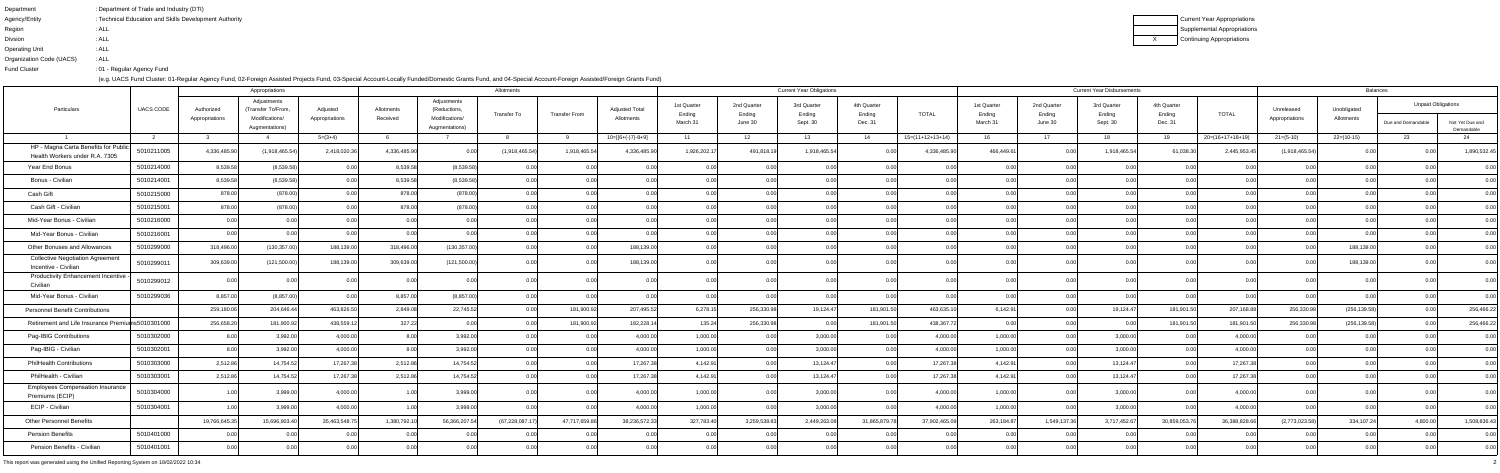| Department               | : Department of Trade and Industry (DTI)               |
|--------------------------|--------------------------------------------------------|
| Agency/Entity            | : Technical Education and Skills Development Authority |
| Region                   | : ALL                                                  |
| <b>Divsion</b>           | : ALL                                                  |
| Operating Unit           | : ALL                                                  |
| Organization Code (UACS) | : ALL                                                  |
| <b>Fund Cluster</b>      | :01 - Regular Agency Fund                              |

Current Year Appropriations Supplemental AppropriationsContinuing Appropriations

|                                                                        |                  |                | Appropriations                    |                |                |                                  | Allotments       |                      |                       |                       |                       | <b>Current Year Obligations</b> |                       |                    |                       |                       | <b>Current Year Disbursements</b> |                       |                  |                | <b>Balances</b> |                           |                               |
|------------------------------------------------------------------------|------------------|----------------|-----------------------------------|----------------|----------------|----------------------------------|------------------|----------------------|-----------------------|-----------------------|-----------------------|---------------------------------|-----------------------|--------------------|-----------------------|-----------------------|-----------------------------------|-----------------------|------------------|----------------|-----------------|---------------------------|-------------------------------|
| Particulars                                                            | <b>UACS CODE</b> | Authorized     | Adjustments<br>(Transfer To/From, | Adjusted       | Allotments     | Adjustments<br>(Reductions,      | Transfer To      | <b>Transfer From</b> | <b>Adjusted Total</b> | 1st Quarter<br>Ending | 2nd Quarter<br>Ending | 3rd Quarter<br>Ending           | 4th Quarter<br>Ending | <b>TOTAL</b>       | 1st Quarter<br>Ending | 2nd Quarter<br>Ending | 3rd Quarter<br>Ending             | 4th Quarter<br>Ending | <b>TOTAL</b>     | Unreleased     | Unobligated     | <b>Unpaid Obligations</b> |                               |
|                                                                        |                  | Appropriations | Modifications/<br>Augmentations)  | Appropriations | Received       | Modifications/<br>Augmentations) |                  |                      | Allotments            | March 31              | June 30               | Sept. 30                        | Dec. 31               |                    | March 31              | June 30               | Sept. 30                          | Dec. 31               |                  | Appropriations | Allotments      | Due and Demandable        | Not Yet Due and<br>Demandable |
|                                                                        |                  |                |                                   | $5=(3+4)$      |                |                                  |                  |                      | $10=[{6+(-)}7{-8+9}]$ | 11                    | 12                    | 13                              | 14                    | $15=(11+12+13+14)$ | 16                    | 17                    | 18.                               | 19                    | 20=(16+17+18+19) | $21 = (5-10)$  | $22=(10-15)$    | -23                       |                               |
| HP - Magna Carta Benefits for Public<br>Health Workers under R.A. 7305 | 5010211005       | 4,336,485.90   | (1,918,465.54)                    | 2,418,020.3    | 4,336,485.9    |                                  | (1,918,465.54)   | 1,918,465.54         | 4,336,485.90          | 1,926,202.17          | 491,818.19            | 1,918,465.54                    |                       | 4,336,485.90       | 466,449.61            | 100.C                 | 1,918,465.54                      | 61,038.30             | 2,445,953.4      | (1,918,465.54) |                 |                           | 1,890,532.45                  |
| Year End Bonus                                                         | 5010214000       | 8,539.5        | (8,539.58)                        |                | 8,539.5        | (8,539.5)                        |                  |                      |                       |                       |                       |                                 |                       |                    |                       |                       |                                   |                       |                  |                |                 |                           | 0.00                          |
| Bonus - Civilian                                                       | 5010214001       | 8,539.58       | (8,539.58)                        |                | 8,539.5        | (8,539.58)                       | 0.00             |                      | 0.00                  |                       | 0.00                  |                                 | 0.00                  |                    | 0.00                  | ງ ດດເ                 | 0.00                              |                       |                  |                |                 |                           | 0.00                          |
| Cash Gift                                                              | 5010215000       | 878.00         | (878.00                           |                | 878.00         | (878.00)                         | 0.00             |                      | 0.00                  |                       | 0.00                  |                                 | 0.001                 |                    | 0.00                  | וחח ר                 | 0.00                              |                       |                  |                |                 |                           | 0.00                          |
| Cash Gift - Civilian                                                   | 5010215001       | 878.00         | (878.00)                          |                | 878.0          | (878.0)                          |                  |                      |                       |                       |                       |                                 |                       |                    | 0.00                  |                       | 0.00                              |                       |                  |                |                 |                           | 0.00                          |
| Mid-Year Bonus - Civilian                                              | 5010216000       |                | n nr                              |                | 0 <sub>0</sub> |                                  | 0.00             |                      | 0.00                  |                       | 0.00                  |                                 | 0.00                  |                    | 0.00                  |                       | 0.00                              |                       |                  |                |                 |                           | 0.00                          |
| Mid-Year Bonus - Civilian                                              | 5010216001       | 0.00           | n nr                              |                | $\cap$ $\cap$  |                                  | 0.00             |                      | 0.00                  |                       | 0.00                  |                                 | 0.001                 |                    | 0.00                  | וחח ר                 | 0.00 <sub>l</sub>                 |                       |                  |                |                 |                           | 0.00                          |
| Other Bonuses and Allowances                                           | 5010299000       | 318,496.0      | (130, 357.0)                      | 188,139.0      | 318,496.0      | (130, 357.0)                     |                  |                      | 188,139.00            |                       |                       |                                 |                       |                    |                       |                       |                                   |                       |                  |                | 188,139.00      |                           | 0.00                          |
| <b>Collective Negotiation Agreement</b><br>Incentive - Civilian        | 5010299011       | 309,639.0      | (121,500.00)                      | 188,139.0      | 309,639.       | (121,500.00)                     |                  |                      | 188,139.00            |                       |                       |                                 |                       |                    |                       |                       |                                   |                       |                  |                | 188,139.0       |                           | 0.00                          |
| Productivity Enhancement Incentive<br>Civilian                         | 5010299012       |                |                                   |                |                |                                  |                  |                      | 0.001                 |                       | 0.00                  |                                 | 0.00                  |                    | 0.001                 | ງ ດດເ                 | 0.00                              |                       |                  |                |                 |                           | 0.00                          |
| Mid-Year Bonus - Civilian                                              | 5010299036       | 8,857.00       | (8,857.00)                        |                | 8,857.0        | (8,857.00)                       | 0.00             |                      | 0.00                  | 0.00                  | 0.00                  | 0.00 <sub>l</sub>               | 0.00                  |                    | 0.00                  | 0.00                  | 0.00                              | n nr                  | 0.00             |                |                 |                           | 0.00                          |
| <b>Personnel Benefit Contributions</b>                                 |                  | 259,180.0      | 204,646.4                         | 463,826.5      | 2,849.0        | 22,745.52                        |                  | 181,900.92           | 207,495.52            | 6,278.15              | 256,330.98            | 19,124.47                       | 181,901.50            | 463,635.10         | 6,142.91              | 0.00                  | 19,124.47                         | 181,901.50            | 207,168.88       | 256,330.98     | (256, 139.58)   |                           | 256,466.22                    |
| Retirement and Life Insurance Premiums5010301000                       |                  | 256,658.2      | 181,900.9                         | 438,559.1      | 327.22         |                                  |                  | 181,900.9            | 182,228.14            | 135.24                | 256,330.98            |                                 | 181,901.50            | 438,367.72         | 0.00                  |                       | 0.00                              | 181,901.50            | 181,901.50       | 256,330.98     | (256, 139.58)   |                           | 256,466.22                    |
| Pag-IBIG Contributions                                                 | 5010302000       | 8.00           | 3,992.0                           | 4,000.0        | 8.00           | 3,992.0                          |                  |                      | 4,000.00              | 1,000.00              | 0.00                  | 3,000.00                        | 0.00                  | 4,000.00           | 1,000.00              | 0.00                  | 3,000.00                          |                       | 4,000.00         |                |                 |                           | 0.00                          |
| Pag-IBIG - Civilian                                                    | 5010302001       |                | 3,992.0                           | 4,000.0        |                | 3,992.0                          |                  |                      | 4,000.00              | 1,000.00              | 0.00                  | 3,000.00                        | 0.00                  | 4,000.00           | 1,000.00              | 0.00                  | 3,000.00                          |                       | 4,000.00         |                |                 |                           | 0.00                          |
| <b>PhilHealth Contributions</b>                                        | 5010303000       | 2,512.86       | 14,754.5                          | 17,267.3       | 2,512.86       | 14,754.52                        |                  |                      | 17,267.38             | 4,142.91              | 0.00                  | 13,124.47                       | 0.001                 | 17,267.38          | 4,142.91              |                       | 13,124.47                         |                       | 17,267.3         |                |                 |                           | 0.00                          |
| PhilHealth - Civilian                                                  | 5010303001       | 2,512.86       | 14,754.52                         | 17,267.3       | 2,512.86       | 14,754.5                         |                  |                      | 17,267.38             | 4,142.91              | 0.00                  | 13,124.47                       | 0.00 <sub>l</sub>     | 17,267.38          | 4,142.91              | 0.001                 | 13,124.47                         |                       | 17,267.38        |                |                 |                           | 0.00                          |
| <b>Employees Compensation Insurance</b><br>Premiums (ECIP)             | 5010304000       | 1.00           | 3,999.00                          | 4,000.00       |                | 3,999.0                          | 0.00             | 0.00                 | 4,000.00              | 1,000.00              | 0.00                  | 3,000.00                        | 0.00                  | 4,000.00           | 1,000.00              | 0.00                  | 3,000.00                          | 0.00                  | 4,000.00         |                |                 |                           | 0.00                          |
| ECIP - Civilian                                                        | 5010304001       |                | 3,999.00                          | 4,000.00       |                | 3,999.00                         | 0.00             |                      | 4,000.00              | 1,000.00              | 0.00                  | 3,000.00                        | 0.00                  | 4,000.00           | 1,000.00              | 0.00                  | 3,000.00                          | 0.00                  | 4,000.00         |                |                 |                           | 0.00                          |
| <b>Other Personnel Benefits</b>                                        |                  | 19,766,645.3   | 15,696,903.40                     | 35,463,548.7   | 1,380,792.1    | 56,366,207.54                    | (67, 228, 087.1) | 47,717,659.86        | 38,236,572.33         | 327,783.40            | 3,259,538.83          | 2,449,263.08                    | 31,865,879.78         | 37,902,465.09      | 263,184.87            | 1,549,137.36          | 3,717,452.67                      | 30,859,053.76         | 36,388,828.66    | (2,773,023.58) | 334,107.24      | 4,800.00                  | 1,508,836.43                  |
| <b>Pension Benefits</b>                                                | 5010401000       |                |                                   |                |                |                                  |                  |                      | 0.00                  | 0.001                 | 0.00                  | 0.00                            | 0.00                  | 0.00               | 0.00                  | 0.00                  | 0.00                              | 0.00                  | 0.00             |                |                 |                           | 0.00                          |
| Pension Benefits - Civilian                                            | 5010401001       | 0.00           |                                   |                | 0.0            |                                  |                  |                      | 0.00                  | 0.00                  | 0.00                  | 0.00                            | 0.00                  | 0.00               | $0.00\vert$           | 0.00                  | 0.00                              | 0.00                  | 0.00             |                | 0.00            | 0.00                      | 0.00                          |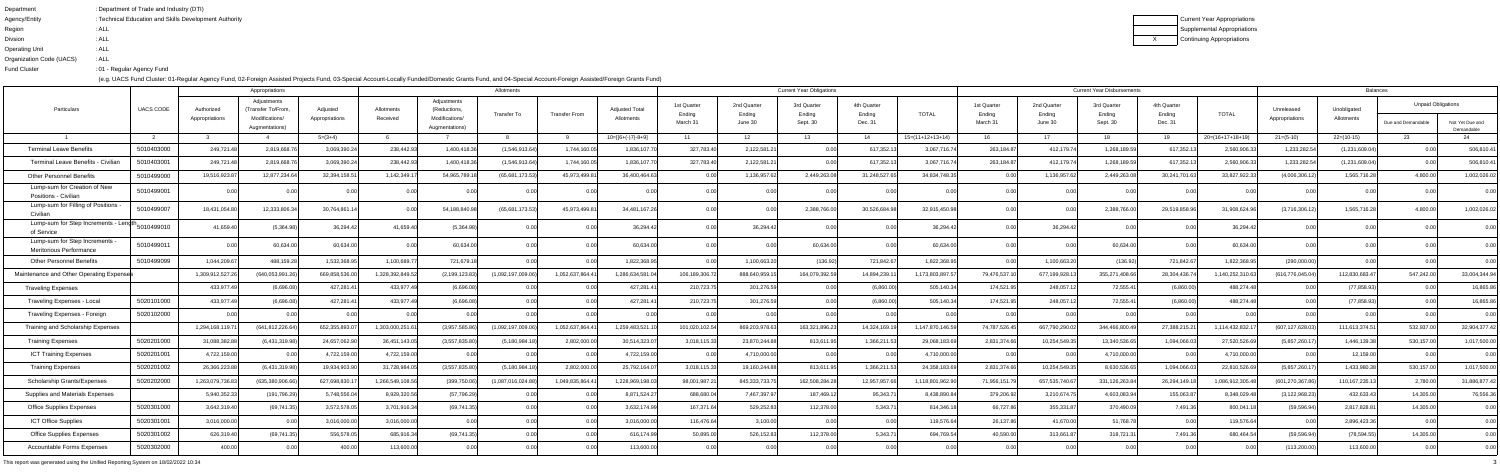| Department               | : Department of Trade and Industry (DTI)               |
|--------------------------|--------------------------------------------------------|
| Agency/Entity            | : Technical Education and Skills Development Authority |
| Region                   | : ALL                                                  |
| <b>Divsion</b>           | : ALL                                                  |
| <b>Operating Unit</b>    | : ALL                                                  |
| Organization Code (UACS) | : ALL                                                  |
| <b>Fund Cluster</b>      | : 01 - Regular Agency Fund                             |

Current Year Appropriations Supplemental AppropriationsContinuing Appropriations

|                                                         |                  |                              | Appropriations                                                        |                            |                        |                                                                 | Allotments         |                      |                                     |                                   |                                  | <b>Current Year Obligations</b>   |                                  |                    |                                   |                                  | <b>Current Year Disbursements</b> |                                  |                    |                              | <b>Balances</b>           |                                                 |                 |
|---------------------------------------------------------|------------------|------------------------------|-----------------------------------------------------------------------|----------------------------|------------------------|-----------------------------------------------------------------|--------------------|----------------------|-------------------------------------|-----------------------------------|----------------------------------|-----------------------------------|----------------------------------|--------------------|-----------------------------------|----------------------------------|-----------------------------------|----------------------------------|--------------------|------------------------------|---------------------------|-------------------------------------------------|-----------------|
| Particulars                                             | <b>UACS CODE</b> | Authorized<br>Appropriations | Adjustments<br>(Transfer To/From,<br>Modifications/<br>Augmentations) | Adjusted<br>Appropriations | Allotments<br>Received | Adjustments<br>(Reductions,<br>Modifications/<br>Augmentations) | Transfer To        | <b>Transfer From</b> | <b>Adjusted Total</b><br>Allotments | 1st Quarter<br>Ending<br>March 31 | 2nd Quarter<br>Ending<br>June 30 | 3rd Quarter<br>Ending<br>Sept. 30 | 4th Quarter<br>Ending<br>Dec. 31 | <b>TOTAL</b>       | 1st Quarter<br>Ending<br>March 31 | 2nd Quarter<br>Ending<br>June 30 | 3rd Quarter<br>Ending<br>Sept. 30 | 4th Quarter<br>Ending<br>Dec. 31 | <b>TOTAL</b>       | Unreleased<br>Appropriations | Unobligated<br>Allotments | <b>Unpaid Obligations</b><br>Due and Demandable | Not Yet Due and |
|                                                         |                  |                              |                                                                       | $5=(3+4)$                  |                        |                                                                 |                    |                      | $10=[(6+(-)7)-8+9]$                 | 11                                | 12                               | 13                                | 14                               | $15=(11+12+13+14)$ | 16                                | 17                               | 18                                | 19                               | $20=(16+17+18+19)$ | $21=(5-10)$                  | 22=(10-15)                | -23                                             | Demandable      |
| <b>Terminal Leave Benefits</b>                          | 5010403000       | 249,721.48                   | 2,819,668.7                                                           | 3,069,390.24               | 238,442.93             | 1,400,418.3                                                     | (1,546,913.64)     | 1,744,160.0          | 1,836,107.7                         | 327,783.40                        | 2,122,581.21                     |                                   | 617,352.1                        | 3,067,716.74       | 263,184.87                        | 412,179.74                       | 1,268,189.59                      | 617,352.13                       | 2,560,906.33       | 1,233,282.54                 | (1,231,609.04)            |                                                 | 506,810.41      |
| Terminal Leave Benefits - Civilian                      | 5010403001       | 249,721.48                   | 2,819,668.7                                                           | 3,069,390.2                | 238,442.9              | 1,400,418.3                                                     | (1,546,913.64      | 1,744,160.0          | 1,836,107.7                         | 327,783.40                        | 2,122,581.21                     | 0.00                              | 617,352.13                       | 3,067,716.74       | 263,184.87                        | 412,179.74                       | 1,268,189.59                      | 617,352.13                       | 2,560,906.33       | 1,233,282.54                 | (1,231,609.04)            |                                                 | 506,810.41      |
| <b>Other Personnel Benefits</b>                         | 5010499000       | 19,516,923.87                | 12,877,234.64                                                         | 32,394,158.5               | 1,142,349.             | 54,965,789.                                                     | (65,681,173.53)    | 45,973,499.8         | 36,400,464.63                       |                                   | 1,136,957.62                     | 2,449,263.08                      | 31,248,527.65                    | 34,834,748.35      | 0.00                              | 1,136,957.62                     | 2,449,263.08                      | 30,241,701.63                    | 33,827,922.33      | (4,006,306.12)               | 1,565,716.28              | 4,800.00                                        | 1,002,026.02    |
| Lump-sum for Creation of New<br>Positions - Civilian    | 5010499001       |                              |                                                                       |                            |                        |                                                                 |                    |                      |                                     |                                   |                                  |                                   |                                  |                    |                                   |                                  |                                   |                                  |                    |                              |                           |                                                 |                 |
| Lump-sum for Filling of Positions<br>Civilian           | 5010499007       | 18,431,054.80                | 12,333,806.34                                                         | 30,764,861.1               |                        | 54,188,840.9                                                    | (65,681,173.53     | 45,973,499.8         | 34,481,167.26                       |                                   |                                  | 2,388,766.00                      | 30,526,684.98                    | 32,915,450.98      |                                   |                                  | 2,388,766.00                      | 29,519,858.96                    | 31,908,624.96      | (3,716,306.12)               | 1,565,716.28              | 4.800.0                                         | 1,002,026.02    |
| Lump-sum for Step Increments - Length<br>of Service     | 5010499010       | 41,659.40                    | (5,364.98)                                                            | 36,294.42                  | 41,659.40              | (5,364.98)                                                      |                    |                      | 36,294.42                           |                                   | 36,294.42                        |                                   |                                  | 36,294.42          | 0.00                              | 36,294.42                        | 0.001                             |                                  | 36,294.42          |                              |                           |                                                 | 0.00            |
| Lump-sum for Step Increments<br>Meritorious Performance | 5010499011       |                              | 60,634.0                                                              | 60,634.00                  |                        | 60,634.0                                                        |                    |                      | 60,634.0                            |                                   |                                  | 60,634.00                         |                                  | 60,634.00          |                                   |                                  | 60,634.00                         |                                  | 60,634.00          |                              |                           |                                                 |                 |
| <b>Other Personnel Benefits</b>                         | 5010499099       | 1,044,209.67                 | 488,159.28                                                            | 1,532,368.9                | 1,100,689.7            | 721,679.1                                                       |                    |                      | 1,822,368.95                        |                                   | 1,100,663.20                     | (136.92)                          | 721,842.67                       | 1,822,368.95       | 0.00                              | 1,100,663.20                     | (136.92)                          | 721,842.67                       | 1,822,368.95       | (290,000.00)                 |                           |                                                 | 0.00            |
| Maintenance and Other Operating Expenses                |                  | 1,309,912,527.2              | (640,053,991.26                                                       | 669,858,536.0              | 1,328,392,849.5        | (2, 199, 123.83)                                                | (1,092,197,009.06) | 1,052,637,864.       | 1,286,634,581.                      | 106,189,306.7                     | 888,640,959.1                    | 164,079,392.59                    | 14,894,239.11                    | 1,173,803,897.57   | 79,476,537.1                      | 677,199,928.1                    | 355,271,408.66                    | 28,304,436.7                     | 1,140,252,310.63   | (616, 776, 045.04)           | 112,830,683.4             | 547,242.00                                      | 33,004,344.94   |
| <b>Traveling Expenses</b>                               |                  | 433,977.49                   | (6,696.08)                                                            | 427,281.4                  | 433,977.4              | (6,696.08)                                                      |                    |                      | 427,281.4                           | 210,723.7                         | 301,276.59                       |                                   | (6,860.00)                       | 505,140.34         | 174,521.95                        | 248,057.12                       | 72,555.41                         | (6,860.00)                       | 488,274.48         |                              | (77, 858.93)              |                                                 | 16,865.86       |
| Traveling Expenses - Local                              | 5020101000       | 433,977.49                   | (6,696.08)                                                            | 427,281.4                  | 433,977.49             | (6,696.08)                                                      |                    |                      | 427,281.4                           | 210,723.7                         | 301,276.59                       |                                   | (6,860.00)                       | 505,140.34         | 174,521.95                        | 248,057.12                       | 72,555.41                         | (6,860.00)                       | 488,274.48         |                              | (77, 858.93)              |                                                 | 16,865.86       |
| Traveling Expenses - Foreign                            | 5020102000       |                              |                                                                       |                            |                        |                                                                 |                    |                      |                                     |                                   |                                  |                                   |                                  |                    |                                   |                                  | 0.001                             |                                  | n nn               |                              |                           |                                                 | 0.00            |
| Training and Scholarship Expenses                       |                  | 1,294,168,119.7              | (641, 812, 226.64)                                                    | 652,355,893.0              | 1,303,000,251.6        | (3,957,585.86)                                                  | (1,092,197,009.06) | 1,052,637,864.4      | 1,259,483,521.                      | 101,020,102.54                    | 869,203,978.63                   | 163,321,896.23                    | 14,324,169.19                    | 1,147,870,146.59   | 74,787,526.45                     | 667,790,290.02                   | 344,466,800.49                    | 27,388,215.21                    | 1,114,432,832.17   | (607, 127, 628.03)           | 111,613,374.51            | 532,937.00                                      | 32,904,377.42   |
| <b>Training Expenses</b>                                | 5020201000       | 31,088,382.8                 | (6,431,319.98)                                                        | 24,657,062.90              | 36,451,143.0           | (3,557,835.80)                                                  | (5, 180, 984.      | 2,802,000.0          | 30,514,323.0                        | 3,018,115.33                      | 23,870,244.88                    | 813,611.95                        | 1,366,211.53                     | 29,068,183.69      | 2,831,374.66                      | 10,254,549.35                    | 13,340,536.65                     | 1,094,066.03                     | 27,520,526.69      | (5,857,260.17                | 1,446,139.38              | 530,157.0                                       | 1,017,500.00    |
| <b>ICT Training Expenses</b>                            | 5020201001       | 4,722,159.00                 |                                                                       | 4,722,159.00               | 4,722,159.00           |                                                                 |                    |                      | 4,722,159.0                         |                                   | 4,710,000.00                     |                                   |                                  | 4,710,000.00       | 0.00L                             |                                  | 4,710,000.00                      | 0.00                             | 4,710,000.00       |                              | 12,159.00                 |                                                 | 0.00            |
| <b>Training Expenses</b>                                | 5020201002       | 26,366,223.88                | (6,431,319.98)                                                        | 19,934,903.90              | 31,728,984.05          | (3,557,835.80)                                                  | (5, 180, 984.1     | 2,802,000.0          | 25,792,164.07                       | 3,018,115.33                      | 19,160,244.88                    | 813,611.95                        | 1,366,211.53                     | 24,358,183.69      | 2,831,374.66                      | 10,254,549.35                    | 8,630,536.65                      | 1,094,066.03                     | 22,810,526.69      | (5,857,260.17)               | 1,433,980.38              | 530,157.00                                      | 1,017,500.00    |
| <b>Scholarship Grants/Expenses</b>                      | 5020202000       | 1,263,079,736.83             | (635.380.906.66                                                       | 627,698,830.               | 1.266.549.108.5        | (399,750.06)                                                    | 1.087.016.024.8    | 1,049,835,864.       | 1.228.969.198.                      | 98,001,987.2                      | 845,333,733.75                   | 162,508,284.28                    | 12,957,957.66                    | 1,118,801,962.90   | 71,956,151.79                     | 657,535,740.67                   | 331,126,263.84                    | 26, 294, 149. 18                 | 1.086.912.305.48   | (601, 270, 367.86)           | 110,167,235.13            | 2.780.00                                        | 31,886,877.42   |
| Supplies and Materials Expenses                         |                  | 5,940,352.3                  | (191, 796.29)                                                         | 5,748,556.0                | 8,929,320.5            | (57, 796.29)                                                    |                    |                      | 8,871,524.2                         | 688,680.0                         | 7,467,397.97                     | 187,469.12                        | 95,343.71                        | 8,438,890.84       | 379,206.92                        | 3,210,674.75                     | 4,603,083.94                      | 155,063.87                       | 8,348,029.48       | (3, 122, 968.23)             | 432,633.43                | 14,305.00                                       | 76,556.36       |
| <b>Office Supplies Expenses</b>                         | 5020301000       | 3,642,319.40                 | (69, 741.35)                                                          | 3,572,578.05               | 3,701,916.34           | (69, 741.35)                                                    | 0.00               | <u>ሰ በ</u>           | 3,632,174.99                        | 167,371.64                        | 529,252.83                       | 112,378.00                        | 5,343.71                         | 814,346.18         | 66,727.86                         | 355,331.87                       | 370,490.09                        | 7,491.36                         | 800,041.18         | (59, 596.94)                 | 2,817,828.81              | 14,305.00                                       | 0.00            |
| <b>ICT Office Supplies</b>                              | 5020301001       | 3,016,000.00                 | 0.00                                                                  | 3,016,000.00               | 3,016,000.00           |                                                                 |                    |                      | 3,016,000.0                         | 116,476.64                        | 3,100.00                         | 0.00                              | 0.00                             | 119,576.64         | 26,137.86                         | 41,670.00                        | 51,768.78                         | 0.00                             | 119,576.64         |                              | 2,896,423.36              |                                                 | 0.00            |
| <b>Office Supplies Expenses</b>                         | 5020301002       | 626,319.40                   | (69, 741.35)                                                          | 556,578.0                  | 685,916.34             | (69, 741.35)                                                    |                    |                      | 616,174.9                           | 50,895.0                          | 526,152.83                       | 112,378.00                        | 5,343.71                         | 694,769.54         | 40,590.00                         | 313,661.87                       | 318,721.31                        | 7,491.36                         | 680,464.54         | (59, 596.94)                 | (78, 594.55)              | 14,305.00                                       | 0.00            |
| <b>Accountable Forms Expenses</b>                       | 5020302000       | 400.00                       | 0.00                                                                  | 400.00                     | 113,600.00             | 0.00                                                            | 0.0                | 0.0                  | 113,600.0                           | 0.00                              | 0.00                             | 0.00                              | 0.00                             | 0.00               | 0.00                              | 0.00                             | 0.00                              | 0.00                             | 0.00               | (113,200.00)                 | 113,600.00                | 0.00                                            | 0.00            |
|                                                         |                  |                              |                                                                       |                            |                        |                                                                 |                    |                      |                                     |                                   |                                  |                                   |                                  |                    |                                   |                                  |                                   |                                  |                    |                              |                           |                                                 |                 |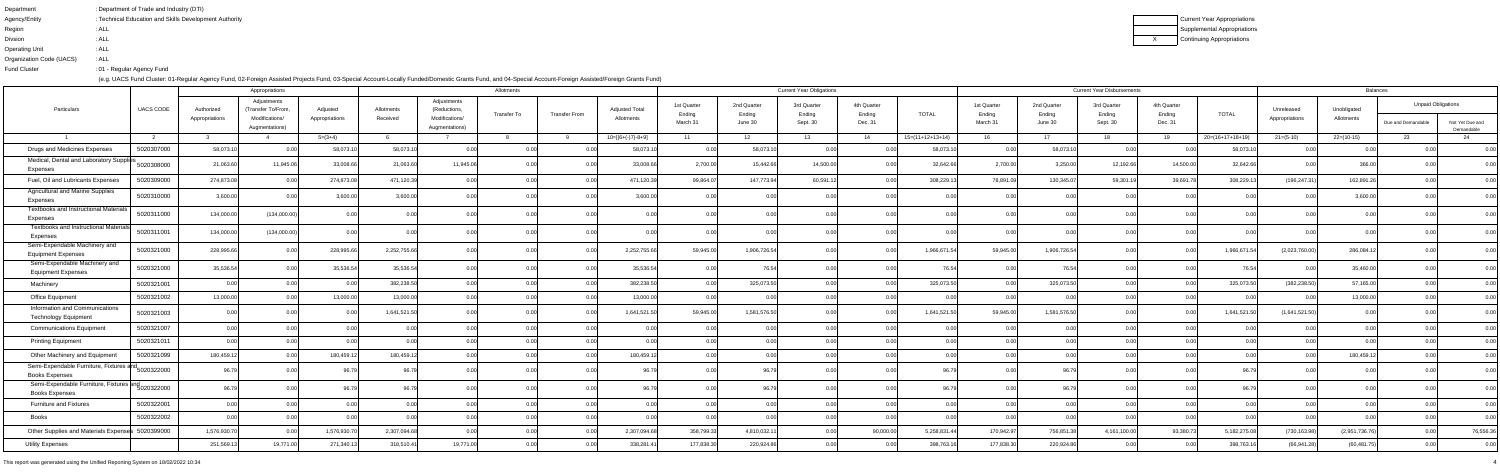X Continuing Appropriations Current Year Appropriations Supplemental Appropriations

| Department               | : Department of Trade and Industry (DTI)               |
|--------------------------|--------------------------------------------------------|
| Agency/Entity            | : Technical Education and Skills Development Authority |
| Region                   | : ALL                                                  |
| <b>Divsion</b>           | : ALL                                                  |
| <b>Operating Unit</b>    | : ALL                                                  |
| Organization Code (UACS) | : ALL                                                  |
| <b>Fund Cluster</b>      | :01 - Regular Agency Fund                              |

(e.g. UACS Fund Cluster: 01-Regular Agency Fund, 02-Foreign Assisted Projects Fund, 03-Special Account-Locally Funded/Domestic Grants Fund, and 04-Special Account-Foreign Assisted/Foreign Grants Fund)

|                                                                                |                  |                              | Appropriations                                                        |                            |                        |                                                                 | Allotments        |                      |                                     |                                   |                                  | <b>Current Year Obligations</b>   |                                  |                    |                                   |                                  | <b>Current Year Disbursements</b> |                                  |                  |                              | <b>Balances</b>           |                                                 |                 |
|--------------------------------------------------------------------------------|------------------|------------------------------|-----------------------------------------------------------------------|----------------------------|------------------------|-----------------------------------------------------------------|-------------------|----------------------|-------------------------------------|-----------------------------------|----------------------------------|-----------------------------------|----------------------------------|--------------------|-----------------------------------|----------------------------------|-----------------------------------|----------------------------------|------------------|------------------------------|---------------------------|-------------------------------------------------|-----------------|
| Particulars                                                                    | <b>UACS CODE</b> | Authorized<br>Appropriations | Adjustments<br>(Transfer To/From,<br>Modifications/<br>Augmentations) | Adjusted<br>Appropriations | Allotments<br>Received | Adjustments<br>(Reductions,<br>Modifications/<br>Augmentations) | Transfer To       | <b>Transfer From</b> | <b>Adjusted Total</b><br>Allotments | 1st Quarter<br>Ending<br>March 31 | 2nd Quarter<br>Ending<br>June 30 | 3rd Quarter<br>Ending<br>Sept. 30 | 4th Quarter<br>Ending<br>Dec. 31 | <b>TOTAL</b>       | 1st Quarter<br>Ending<br>March 31 | 2nd Quarter<br>Ending<br>June 30 | 3rd Quarter<br>Ending<br>Sept. 30 | 4th Quarter<br>Ending<br>Dec. 31 | <b>TOTAL</b>     | Unreleased<br>Appropriations | Unobligated<br>Allotments | <b>Unpaid Obligations</b><br>Due and Demandable | Not Yet Due and |
|                                                                                |                  |                              |                                                                       | $5=(3+4)$                  |                        |                                                                 |                   |                      | $10=[{6+(-)}7{-8+9}]$               | 11                                | 12                               | 13                                | 14                               | $15=(11+12+13+14)$ | 16                                | 17                               | 18                                | 19                               | 20=(16+17+18+19) | $21 = (5-10)$                | 22=(10-15)                | -23                                             | Demandable      |
| <b>Drugs and Medicines Expenses</b>                                            | 5020307000       | 58,073.1                     |                                                                       | 58,073.1                   | 58,073.1               |                                                                 | 0.00              |                      | 58,073.10                           |                                   | 58,073.10                        |                                   |                                  | 58,073.10          | 0.00                              | 58,073.10                        | 0.00                              |                                  | 58,073.          |                              |                           |                                                 | 0.00            |
| Medical, Dental and Laboratory Supplies                                        |                  |                              |                                                                       |                            |                        |                                                                 |                   |                      |                                     |                                   |                                  |                                   |                                  |                    |                                   |                                  |                                   |                                  |                  |                              |                           |                                                 |                 |
| Expenses                                                                       | 5020308000       | 21,063.60                    | 11,945.06                                                             | 33,008.6                   | 21,063.60              | 11,945.06                                                       | 0.001             |                      | 33,008.66                           | 2,700.00                          | 15,442.66                        | 14,500.00                         |                                  | 32,642.66          | 2,700.00                          | 3,250.00                         | 12,192.66                         | 14,500.00                        | 32,642.66        |                              | 366.00                    |                                                 |                 |
| Fuel, Oil and Lubricants Expenses                                              | 5020309000       | 274,873.0                    | $\cap$ $\cap$                                                         | 274,873.0                  | 471,120.39             |                                                                 | 0.00 <sup>1</sup> |                      | 471,120.39                          | 99,864.07                         | 147,773.94                       | 60,591.12                         |                                  | 308,229.13         | 78,891.09                         | 130,345.07                       | 59,301.19                         | 39,691.78                        | 308,229.13       | (196, 247.31)                | 162,891.26                |                                                 | 0.00            |
| <b>Agricultural and Marine Supplies</b><br>Expenses                            | 5020310000       | 3,600.00                     | n nr                                                                  | 3,600.0                    | 3,600.00               |                                                                 | 0.00              |                      | 3,600.00                            |                                   | 0.001                            |                                   |                                  |                    | റ റവ                              |                                  | ገ በበ                              |                                  |                  |                              | 3,600.00                  |                                                 | റ ററ            |
| Textbooks and Instructional Materials<br>Expenses                              | 5020311000       | 134,000.0                    | (134,000.00)                                                          |                            |                        |                                                                 |                   |                      |                                     |                                   |                                  |                                   |                                  |                    |                                   |                                  |                                   |                                  |                  |                              |                           |                                                 |                 |
| <b>Textbooks and Instructional Materials</b><br>Expenses                       | 5020311001       | 134,000.0                    | (134,000.00)                                                          |                            |                        |                                                                 |                   |                      |                                     |                                   |                                  |                                   |                                  |                    | 0.00                              | 2.00                             |                                   |                                  |                  |                              |                           |                                                 |                 |
| Semi-Expendable Machinery and<br><b>Equipment Expenses</b>                     | 5020321000       | 228,995.6                    |                                                                       | 228,995.                   | 2,252,755.66           |                                                                 |                   |                      | 2,252,755.66                        | 59,945.00                         | 1,906,726.54                     |                                   |                                  | 1,966,671.5        | 59,945.00                         | 1,906,726.54                     |                                   |                                  | 1,966,671.       | (2,023,760.00)               | 286,084.1                 |                                                 |                 |
| Semi-Expendable Machinery and<br><b>Equipment Expenses</b>                     | 5020321000       | 35,536.54                    |                                                                       | 35,536.54                  | 35,536.54              |                                                                 | 0.00L             |                      | 35,536.54                           |                                   | 76.54                            |                                   |                                  | 76.54              | 0.001                             | 76.54                            |                                   |                                  | 76.54            |                              | 35,460.00                 |                                                 | 0.00            |
| Machinery                                                                      | 5020321001       |                              |                                                                       |                            | 382,238.50             |                                                                 |                   |                      | 382,238.50                          |                                   | 325,073.50                       |                                   |                                  | 325,073.50         | 0.00                              | 325,073.50                       | 0.00                              |                                  | 325,073.50       | (382, 238.50)                | 57,165.00                 |                                                 | 0.00            |
| Office Equipment                                                               | 5020321002       | 13,000.0                     |                                                                       | 13,000.0                   | 13,000.0               |                                                                 | 0.00              |                      | 13,000.00                           |                                   | 0.00l                            |                                   |                                  |                    | 0.00                              |                                  | n nr                              |                                  |                  |                              | 13,000.00                 |                                                 | 0.00            |
| Information and Communications<br><b>Technology Equipment</b>                  | 5020321003       |                              |                                                                       |                            | 1,641,521.50           |                                                                 |                   |                      | 1,641,521.50                        | 59,945.00                         | 1,581,576.50                     |                                   | n ool                            | 1,641,521.50       | 59,945.00                         | 1,581,576.50                     | D.OO                              |                                  | 1,641,521.50     | (1,641,521.50)               |                           |                                                 |                 |
| <b>Communications Equipmen</b>                                                 | 5020321007       |                              |                                                                       |                            | 0.00                   |                                                                 | 0.00              |                      | 0.00                                | 0.00l                             | 0.00                             |                                   | 0.00                             | 0.OOI              | 0.00                              | 0.00                             | 0.00                              |                                  |                  |                              |                           |                                                 | 0.00            |
| <b>Printing Equipment</b>                                                      | 5020321011       |                              |                                                                       |                            |                        |                                                                 |                   |                      | 0.001                               |                                   | 0.00                             |                                   | 0.001                            |                    | 0.00                              |                                  | 0.00                              |                                  |                  |                              |                           |                                                 | 0.00            |
| Other Machinery and Equipment                                                  | 5020321099       | 180,459.1                    |                                                                       | 180,459.1                  | 180,459.1              |                                                                 |                   |                      | 180,459.12                          |                                   |                                  |                                   |                                  |                    |                                   |                                  |                                   |                                  |                  |                              | 180,459.1                 |                                                 | 0.00            |
| Semi-Expendable Furniture, Fixtures and<br>5020322000<br><b>Books Expenses</b> |                  | 96.                          |                                                                       |                            |                        |                                                                 |                   |                      | 96.7                                |                                   | 96.79                            |                                   |                                  |                    |                                   |                                  |                                   |                                  |                  |                              |                           |                                                 |                 |
| Semi-Expendable Furniture, Fixtures and<br>5020322000<br><b>Books Expenses</b> |                  | 96.79                        | $\Omega$ $\Omega$                                                     | 96.79                      | 96.79                  | n.ool                                                           | 0.00              | 0.00 <sub>l</sub>    | 96.79                               | 0.00                              | 96.79                            | 0.00                              | 0.00                             | 96.79              | 0.00                              | 96.79                            | 0.00                              | 0.00                             | 96.79            | 0.00                         | 0.00                      |                                                 | 0.00            |
| <b>Furniture and Fixtures</b>                                                  | 5020322001       | n nr                         | n nr                                                                  |                            | 0.00                   |                                                                 | 0.00              | 0.00                 | 0.00                                | 0.00                              | 0.00                             | 0.00 <sub>l</sub>                 | 0.00                             | 0.00l              | 0.00                              | 0.00                             | 0.00                              | 0.00                             | 0.00             |                              |                           |                                                 | 0.00            |
| Books                                                                          | 5020322002       | n nr                         |                                                                       |                            |                        |                                                                 | 0.001             | 0.00                 | 0.00                                | 0.00                              | 0.00                             | 0.00 <sup>1</sup>                 | 0.00                             | 0.OOI              | 0.00 <sub>l</sub>                 | 0.00 <sub>l</sub>                | 0.00                              |                                  |                  |                              |                           |                                                 | 0.00            |
| Other Supplies and Materials Expenses 5020399000                               |                  | 1,576,930.70                 | 0 <sub>0</sub>                                                        | 1,576,930.7                | 2,307,094.68           |                                                                 |                   | 0.00                 | 2,307,094.68                        | 358,799.33                        | 4,810,032.11                     | 0.00                              | 90,000.00                        | 5,258,831.44       | 170,942.97                        | 756,851.38                       | 4,161,100.00                      | 93,380.73                        | 5,182,275.08     | (730, 163.98)                | (2,951,736.76)            |                                                 | 76,556.36       |
| <b>Utility Expenses</b>                                                        |                  | 251,569.1                    | 19,771.00                                                             | 271,340.13                 | 318,510.41             | 19,771.00                                                       |                   | 0.00                 | 338,281.41                          | 177,838.30                        | 220,924.86                       | n ool                             | 0.00 <sub>l</sub>                | 398,763.16         | 177,838.30                        | 220,924.86                       | 0.00                              | 0.00                             | 398,763.16       | (66,941.28)                  | (60, 481.75)              |                                                 | 0.00            |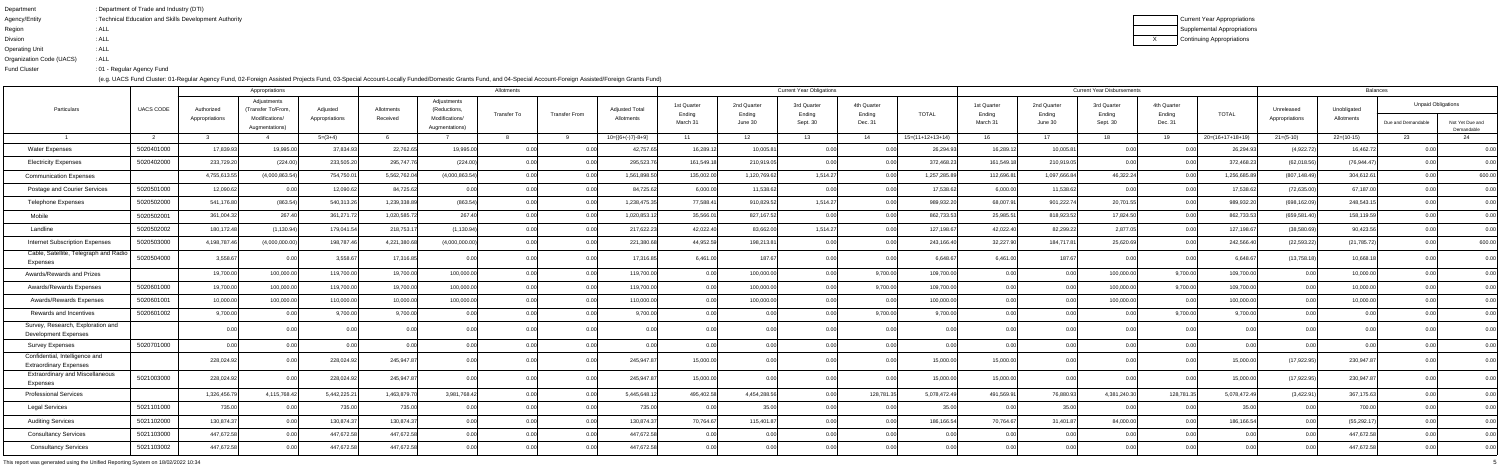| : Department of Trade and Industry (DTI)               |
|--------------------------------------------------------|
| : Technical Education and Skills Development Authority |
| : ALL                                                  |
| : ALL                                                  |
| : ALL                                                  |
| : ALL                                                  |
| :01 - Regular Agency Fund                              |
|                                                        |

Current Year Appropriations Supplemental Appropriations**Continuing Appropriations** 

|                                                                  |                  |                              | Appropriations                                                       |                            |                        |                                                                 | Allotments    |                      |                                     |                                   |                                  | <b>Current Year Obligations</b>   |                                  |                    |                                   |                                  | <b>Current Year Disbursements</b> |                                  |                    |                              | <b>Balances</b>           |                                                 |                               |
|------------------------------------------------------------------|------------------|------------------------------|----------------------------------------------------------------------|----------------------------|------------------------|-----------------------------------------------------------------|---------------|----------------------|-------------------------------------|-----------------------------------|----------------------------------|-----------------------------------|----------------------------------|--------------------|-----------------------------------|----------------------------------|-----------------------------------|----------------------------------|--------------------|------------------------------|---------------------------|-------------------------------------------------|-------------------------------|
| Particulars                                                      | <b>UACS CODE</b> | Authorized<br>Appropriations | Adjustments<br>(Transfer To/From<br>Modifications/<br>Augmentations) | Adjusted<br>Appropriations | Allotments<br>Received | Adjustments<br>(Reductions,<br>Modifications/<br>Augmentations) | Transfer To   | <b>Transfer From</b> | <b>Adjusted Total</b><br>Allotments | 1st Quarter<br>Ending<br>March 31 | 2nd Quarter<br>Ending<br>June 30 | 3rd Quarter<br>Ending<br>Sept. 30 | 4th Quarter<br>Ending<br>Dec. 31 | <b>TOTAL</b>       | 1st Quarter<br>Ending<br>March 31 | 2nd Quarter<br>Ending<br>June 30 | 3rd Quarter<br>Ending<br>Sept. 30 | 4th Quarter<br>Ending<br>Dec. 31 | <b>TOTAL</b>       | Unreleased<br>Appropriations | Unobligated<br>Allotments | <b>Unpaid Obligations</b><br>Due and Demandable | Not Yet Due and<br>Demandable |
|                                                                  |                  |                              |                                                                      | $5=(3+4)$                  |                        |                                                                 |               |                      | $10=[6+(-)7]-8+9]$                  | 11                                | 12                               | 13                                | 14                               | $15=(11+12+13+14)$ | -16                               | 17                               | 18                                | 19                               | $20=(16+17+18+19)$ | $21=(5-10)$                  | $22=(10-15)$              |                                                 |                               |
| <b>Water Expenses</b>                                            | 5020401000       | 17,839.93                    | 19,995.00                                                            | 37,834.93                  | 22,762.6               | 19,995.0                                                        | $\cap$ $\cap$ |                      | 42,757.6                            | 16,289.12                         | 10,005.81                        | 0.00                              |                                  | 26,294.93          | 16,289.12                         | 10,005.81                        | 0.00                              | 0.00                             | 26,294.93          | (4,922.72)                   | 16,462.72                 |                                                 | 0.00                          |
| <b>Electricity Expenses</b>                                      | 5020402000       | 233,729.20                   | (224.00                                                              | 233,505.2                  | 295,747.               | (224.00)                                                        |               |                      | 295,523.                            | 161,549.18                        | 210,919.05                       |                                   | 0.00                             | 372,468.23         | 161,549.18                        | 210,919.05                       | 0.00                              | 0.00                             | 372,468.23         | (62,018.56)                  | (76, 944.47)              |                                                 | 0.00                          |
| <b>Communication Expenses</b>                                    |                  | 4,755,613.5                  | (4,000,863.54                                                        | 754,750.0                  | 5,562,762.0            | (4,000,863.54                                                   |               |                      | 1,561,898.5                         | 135,002.0                         | 1,120,769.62                     | 1,514.27                          | 0.00                             | 1,257,285.89       | 112,696.81                        | 1,097,666.84                     | 46,322.24                         | 0.00                             | 1,256,685.89       | (807, 148.49)                | 304,612.61                |                                                 | 600.00                        |
| Postage and Courier Services                                     | 5020501000       | 12,090.62                    | 0.00                                                                 | 12,090.6                   | 84,725.62              |                                                                 | n nr          |                      | 84,725.62                           | 6,000.00                          | 11,538.62                        | 0.00L                             | 0.00                             | 17,538.62          | 6,000.00                          | 11,538.62                        | 0.00                              | 0.00 <sub>l</sub>                | 17,538.62          | (72, 635.00)                 | 67,187.00                 |                                                 | 0.00                          |
| <b>Telephone Expenses</b>                                        | 5020502000       | 541,176.80                   | (863.54)                                                             | 540,313.2                  | 1,239,338.8            | (863.54)                                                        |               |                      | 1,238,475.3                         | 77,588.41                         | 910,829.52                       | 1,514.27                          | 0.00                             | 989,932.20         | 68,007.91                         | 901,222.74                       | 20,701.55                         | 0.00 <sub>l</sub>                | 989,932.20         | (698, 162.09)                | 248,543.15                |                                                 | 0.00                          |
| Mobile                                                           | 5020502001       | 361,004.32                   | 267.40                                                               | 361,271.7                  | 1,020,585.7            | 267.4                                                           |               |                      | 1,020,853.1                         | 35,566.01                         | 827,167.52                       |                                   | 0.00 <sub>l</sub>                | 862,733.53         | 25,985.51                         | 818,923.52                       | 17,824.50                         | 0.00                             | 862,733.53         | (659, 581.40)                | 158,119.59                |                                                 | 0.00                          |
| Landline                                                         | 5020502002       | 180,172.48                   | (1, 130.94)                                                          | 179,041.5                  | 218,753.1              | (1, 130.94)                                                     |               |                      | 217,622.2                           | 42,022.40                         | 83,662.00                        | 1,514.27                          | 0.00l                            | 127,198.67         | 42,022.40                         | 82,299.22                        | 2,877.05                          | 0.00                             | 127,198.67         | (38,580.69)                  | 90,423.56                 |                                                 | 0.00                          |
| <b>Internet Subscription Expenses</b>                            | 5020503000       | 4,198,787.4                  | (4,000,000.00)                                                       | 198,787.4                  | 4,221,380.6            | (4,000,000.00)                                                  | n nr          |                      | 221,380.6                           | 44,952.59                         | 198,213.81                       |                                   | 0.00 <sub>l</sub>                | 243,166.40         | 32,227.90                         | 184,717.81                       | 25,620.69                         | 0.00                             | 242,566.40         | (22, 593.22)                 | (21, 785.72)              |                                                 | 600.00                        |
| Cable, Satellite, Telegraph and Radio<br>Expenses                | 5020504000       | 3,558.6                      |                                                                      | 3,558.6                    | 17,316.8               |                                                                 |               |                      | 17,316.8                            | 6,461.0                           | 187.67                           |                                   |                                  | 6,648.67           | 6,461.00                          | 187.67                           |                                   |                                  | 6,648.6            | (13,758.18)                  | 10,668.1                  |                                                 | 0.00                          |
| Awards/Rewards and Prizes                                        |                  | 19,700.00                    | 100,000.0                                                            | 119,700.0                  | 19,700.0               | 100,000.0                                                       | 000           |                      | 119,700.00                          | 0.00                              | 100,000.00                       | 0.00                              | 9,700.00                         | 109,700.00         | 0.00                              | 0.00                             | 100,000.00                        | 9,700.00                         | 109,700.00         | 0.00                         | 10,000.00                 |                                                 | 0.00                          |
| Awards/Rewards Expenses                                          | 5020601000       | 19,700.00                    | 100,000.0                                                            | 119,700.0                  | 19,700.0               | 100,000.0                                                       |               |                      | 119,700.00                          | 0.00                              | 100,000.00                       |                                   | 9,700.00                         | 109,700.00         | 0.00                              |                                  | 100,000.00                        | 9,700.00                         | 109,700.00         | 0.00                         | 10,000.00                 |                                                 | 0.00                          |
| <b>Awards/Rewards Expenses</b>                                   | 5020601001       | 10,000.00                    | 100,000.0                                                            | 110,000.0                  | 10,000.0               | 100,000.                                                        |               |                      | 110,000.0                           |                                   | 100,000.00                       |                                   | 0.00                             | 100,000.00         |                                   |                                  | 100,000.00                        | 0.00                             | 100,000.00         |                              | 10,000.00                 |                                                 | 0.00                          |
| Rewards and Incentives                                           | 5020601002       | 9,700.00                     | n nr                                                                 | 9,700.0                    | 9,700.00               |                                                                 |               |                      | 9,700.00                            |                                   | 0.001                            |                                   | 9,700.00                         | 9,700.00           | n nnl                             |                                  | 0.00                              | 9,700.00                         | 9,700.00           |                              |                           |                                                 | 0.00                          |
| Survey, Research, Exploration and<br><b>Development Expenses</b> |                  |                              |                                                                      |                            | $\cap$ $\cap$          |                                                                 |               |                      |                                     |                                   | 0.00                             |                                   | 0.00L                            |                    |                                   |                                  | n ool                             |                                  | ገ በበ               |                              |                           |                                                 | ი იი                          |
| <b>Survey Expenses</b>                                           | 5020701000       |                              |                                                                      |                            |                        |                                                                 |               |                      |                                     |                                   |                                  |                                   |                                  |                    |                                   |                                  |                                   |                                  |                    |                              |                           |                                                 |                               |
| Confidential, Intelligence and<br><b>Extraordinary Expenses</b>  |                  | 228,024.92                   |                                                                      | 228,024.9                  | 245,947.8              |                                                                 |               |                      | 245,947.87                          | 15,000.00                         | 0.00                             |                                   | n nn                             | 15,000.00          | 15,000.00                         |                                  |                                   | n nn                             | 15,000.00          | (17, 922.95)                 | 230,947.87                |                                                 | 0.00                          |
| <b>Extraordinary and Miscellaneous</b><br>Expenses               | 5021003000       | 228,024.9                    |                                                                      | 228,024.9                  | 245,947.               |                                                                 |               |                      | 245,947.8                           | 15,000.                           |                                  |                                   |                                  | 15,000.            | 15,000.0                          |                                  |                                   |                                  | 15,000.00          | (17, 922.95)                 | 230,947.8                 |                                                 |                               |
| <b>Professional Services</b>                                     |                  | 1,326,456.7                  | 4,115,768.42                                                         | 5,442,225.2                | 1,463,879.7            | 3,981,768.42                                                    |               |                      | 5,445,648.1                         | 495,402.58                        | 4,454,288.56                     | 0.00                              | 128,781.35                       | 5,078,472.49       | 491,569.91                        | 76,880.93                        | 4,381,240.30                      | 128,781.35                       | 5,078,472.49       | (3,422.91)                   | 367,175.63                | 0.00                                            | 0.00                          |
| Legal Services                                                   | 5021101000       | 735.00                       |                                                                      | 735.00                     | 735.0                  |                                                                 |               |                      | 735.00                              | 0.00                              | 35.00                            | 0.00                              | 0.00                             | 35.00              | 0.00                              | 35.00                            | 0.00                              | 0.00                             | 35.00              | 0.00                         | 700.00                    |                                                 | 0.00                          |
| <b>Auditing Services</b>                                         | 5021102000       | 130,874.37                   |                                                                      | 130,874.37                 | 130,874.37             |                                                                 |               |                      | 130,874.37                          | 70,764.67                         | 115,401.87                       |                                   | 0.00                             | 186,166.54         | 70,764.67                         | 31,401.87                        | 84,000.00                         | 0.00                             | 186,166.54         | 0.00                         | (55, 292.17)              |                                                 | 0.00                          |
| <b>Consultancy Services</b>                                      | 5021103000       | 447,672.58                   | n nr                                                                 | 447,672.5                  | 447,672.5              |                                                                 |               |                      | 447,672.58                          | 0.00                              | 0.00                             | 0.00 <sub>l</sub>                 | 0.00                             |                    | 0.00                              | 0.00                             | 0.00                              | 0.00                             | 0.00               | 0.00                         | 447,672.58                |                                                 | 0.00                          |
| <b>Consultancy Services</b>                                      | 5021103002       | 447,672.58                   | 0.00                                                                 | 447,672.58                 | 447,672.58             |                                                                 |               |                      | 447,672.58                          | 0.00                              | 0.00                             | 0.00                              | 0.00                             | 0.00               | 0.00                              | 0.00                             | 0.00                              | 0.00                             | 0.00               | 0.00                         | 447,672.58                | 0.00                                            | 0.00                          |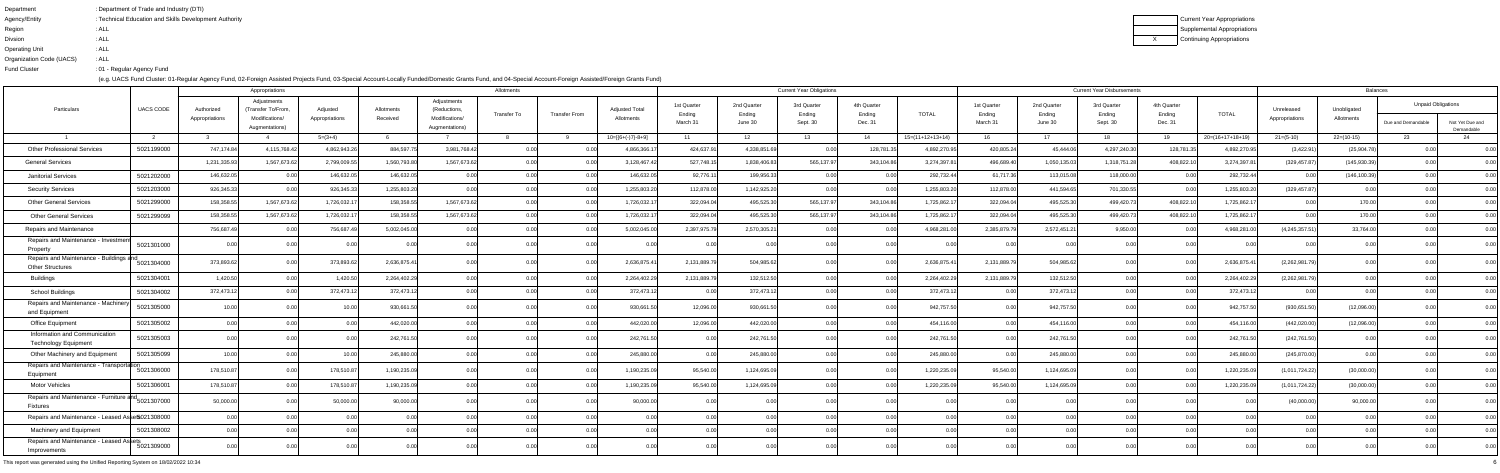| Department               | : Department of Trade and Industry (DTI)               |
|--------------------------|--------------------------------------------------------|
| Agency/Entity            | : Technical Education and Skills Development Authority |
| Region                   | : ALL                                                  |
| <b>Divsion</b>           | : ALL                                                  |
| <b>Operating Unit</b>    | : ALL                                                  |
| Organization Code (UACS) | : ALL                                                  |
| <b>Fund Cluster</b>      | : 01 - Regular Agency Fund                             |

Current Year Appropriations Supplemental AppropriationsContinuing Appropriations

|                                                                          |                  |                              | Appropriations                                                       |                            |                        |                                                                | Allotments  |                      |                                     |                                   |                                  | <b>Current Year Obligations</b>   |                                  |                    |                                   |                                  | <b>Current Year Disbursements</b> |                                  |                    |                              | <b>Balances</b>           |                                                 |                               |
|--------------------------------------------------------------------------|------------------|------------------------------|----------------------------------------------------------------------|----------------------------|------------------------|----------------------------------------------------------------|-------------|----------------------|-------------------------------------|-----------------------------------|----------------------------------|-----------------------------------|----------------------------------|--------------------|-----------------------------------|----------------------------------|-----------------------------------|----------------------------------|--------------------|------------------------------|---------------------------|-------------------------------------------------|-------------------------------|
| Particulars                                                              | <b>UACS CODE</b> | Authorized<br>Appropriations | Adjustments<br>(Transfer To/From<br>Modifications/<br>Augmentations) | Adjusted<br>Appropriations | Allotments<br>Received | Adjustments<br>(Reductions<br>Modifications/<br>Augmentations) | Transfer To | <b>Transfer From</b> | <b>Adjusted Total</b><br>Allotments | 1st Quarter<br>Ending<br>March 31 | 2nd Quarter<br>Ending<br>June 30 | 3rd Quarter<br>Ending<br>Sept. 30 | 4th Quarter<br>Ending<br>Dec. 31 | <b>TOTAL</b>       | 1st Quarter<br>Ending<br>March 31 | 2nd Quarter<br>Ending<br>June 30 | 3rd Quarter<br>Ending<br>Sept. 30 | 4th Quarter<br>Ending<br>Dec. 31 | <b>TOTAL</b>       | Unreleased<br>Appropriations | Unobligated<br>Allotments | <b>Unpaid Obligations</b><br>Due and Demandable | Not Yet Due and<br>Demandable |
|                                                                          |                  |                              |                                                                      | $5=(3+4)$                  |                        |                                                                |             |                      | $10=[(6+(-)7)-8+9]$                 | 11                                | 12 <sup>12</sup>                 | 13                                | 14                               | $15=(11+12+13+14)$ | 16.                               | 17                               | 18.                               | 19                               | $20=(16+17+18+19)$ | $21=(5-10)$                  | $22=(10-15)$              |                                                 |                               |
| <b>Other Professional Services</b>                                       | 5021199000       | 747,174.84                   | 4,115,768.4                                                          | 4,862,943.26               | 884,597.               | 3,981,768.42                                                   | 0.00        |                      | 4,866,366.1                         | 424,637.91                        | 4,338,851.69                     | 0.00                              | 128,781.35                       | 4,892,270.95       | 420,805.24                        | 45,444.06                        | 4,297,240.30                      | 128,781.3                        | 4,892,270.95       | (3,422.91)                   | (25,904.78)               |                                                 | 0.00                          |
| <b>General Services</b>                                                  |                  | 1,231,335.9                  | 1,567,673.6                                                          | 2,799,009.5                | 1,560,793.8            | 1,567,673.62                                                   | 0.00        |                      | 3,128,467.4                         | 527,748.15                        | 1,838,406.83                     | 565,137.97                        | 343,104.86                       | 3,274,397.8        | 496,689.40                        | 1,050,135.03                     | 1,318,751.28                      | 408,822.1                        | 3,274,397.81       | (329, 457.87)                | (145, 930.39)             |                                                 | 0.00                          |
| Janitorial Services                                                      | 5021202000       | 146,632.0                    | 0.00                                                                 | 146,632.0                  | 146,632.0              |                                                                |             | 0.00                 | 146,632.05                          | 92,776.11                         | 199,956.33                       | 0.00                              | 0.00                             | 292,732.44         | 61,717.36                         | 113,015.08                       | 118,000.00                        | 0.00                             | 292,732.44         | 0.00                         | (146, 100.39)             |                                                 | 0.00                          |
| <b>Security Services</b>                                                 | 5021203000       | 926,345.3                    | 0.00                                                                 | 926,345.3                  | 1,255,803.20           |                                                                | 0.00        |                      | 1,255,803.20                        | 112,878.00                        | 1,142,925.20                     |                                   | 0.00                             | 1,255,803.20       | 112,878.00                        | 441,594.65                       | 701,330.55                        | 0.00                             | 1,255,803.20       | (329, 457.87)                |                           |                                                 | 0.00                          |
| <b>Other General Services</b>                                            | 5021299000       | 158,358.5                    | 1,567,673.6                                                          | 1,726,032.1                | 158,358.5              | 1,567,673.62                                                   | 0.00        |                      | 1,726,032.1                         | 322,094.04                        | 495,525.30                       | 565,137.97                        | 343,104.86                       | 1,725,862.1        | 322,094.04                        | 495,525.30                       | 499,420.73                        | 408,822.1                        | 1,725,862.         |                              | 170.00                    |                                                 | 0.00                          |
| <b>Other General Services</b>                                            | 5021299099       | 158,358.5                    | 1,567,673.62                                                         | 1,726,032.1                | 158,358.5              | 1,567,673.62                                                   | 0.00        | 0.00                 | 1,726,032.1                         | 322,094.04                        | 495,525.30                       | 565,137.97                        | 343,104.86                       | 1,725,862.1        | 322,094.04                        | 495,525.30                       | 499,420.73                        | 408,822.10                       | 1,725,862.1        |                              | 170.00                    |                                                 | 0.00                          |
| Repairs and Maintenance                                                  |                  | 756,687.4                    | <u>ሰሰ</u>                                                            | 756,687.4                  | 5,002,045.0            |                                                                |             |                      | 5,002,045.00                        | 2,397,975.79                      | 2,570,305.21                     |                                   | 0.00                             | 4,968,281.00       | 2,385,879.79                      | 2,572,451.2                      | 9,950.00                          |                                  | 4,968,281.         | (4, 245, 357.51)             | 33,764.00                 |                                                 | 0.00                          |
| Repairs and Maintenance - Investment<br>Property                         | 5021301000       |                              |                                                                      |                            |                        |                                                                |             |                      |                                     |                                   |                                  |                                   |                                  |                    |                                   |                                  |                                   |                                  |                    |                              |                           |                                                 | 0.OO                          |
| Repairs and Maintenance - Buildings and<br><b>Other Structures</b>       | 5021304000       | 373,893.6                    |                                                                      | 373,893.6                  | 2,636,875.41           |                                                                |             |                      | 2,636,875.41                        | 2,131,889.7                       | 504,985.62                       |                                   |                                  | 2,636,875.4        | 2,131,889.79                      | 504,985.62                       | 0.00                              | 0.00                             | 2,636,875.4        | (2,262,981.7)                |                           |                                                 | 0.00                          |
| <b>Buildings</b>                                                         | 5021304001       | 1.420.50                     | $\cap$ $\cap$                                                        | 1,420.5                    | 2,264,402.29           |                                                                |             |                      | 2,264,402.29                        | 2,131,889.79                      | 132,512.50                       |                                   | 0.00                             | 2,264,402.29       | 2,131,889.79                      | 132,512.50                       | 0.00                              | 0.00                             | 2,264,402.29       | (2,262,981.7)                |                           |                                                 | 0.00                          |
| School Buildings                                                         | 5021304002       | 372,473.12                   | n nr                                                                 | 372,473.12                 | 372,473.12             |                                                                |             | 0.00                 | 372,473.12                          | 0.00                              | 372,473.12                       |                                   | 0.00                             | 372,473.12         | 0.00                              | 372,473.12                       | 0.00                              | 0.00                             | 372,473.12         |                              |                           |                                                 | 0.00                          |
| Repairs and Maintenance - Machinery<br>and Equipment                     | 5021305000       | 10 <sub>1</sub>              |                                                                      | 10 <sub>1</sub>            | 930,661.               |                                                                |             |                      | 930,661.5                           | 12,096.00                         | 930,661.50                       |                                   |                                  | 942,757.50         | 0.00                              | 942,757.50                       |                                   |                                  | 942,757.50         | (930, 651.50)                | (12,096.00)               |                                                 | 0.00                          |
| <b>Office Equipment</b>                                                  | 5021305002       |                              |                                                                      |                            | 442,020.0              |                                                                | 0.00        |                      | 442,020.00                          | 12,096.00                         | 442,020.00                       |                                   | 0.00                             | 454,116.00         | 0.00                              | 454,116.00                       | 0.00                              | 0.00                             | 454,116.00         | (442, 020.00)                | (12,096.00)               |                                                 | 0.00                          |
| Information and Communication<br><b>Technology Equipment</b>             | 5021305003       |                              |                                                                      |                            | 242,761.               |                                                                |             |                      | 242,761.50                          |                                   | 242,761.50                       |                                   |                                  | 242,761.50         | 0.00 <sub>l</sub>                 | 242,761.50                       |                                   |                                  | 242,761.5          | (242, 761.50)                |                           |                                                 | 0.00                          |
| Other Machinery and Equipment                                            | 5021305099       | 10 $00$                      |                                                                      | 10 <sub>0</sub>            | 245,880.0              |                                                                | 0.00        |                      | 245,880.00                          |                                   | 245,880.00                       |                                   | n nnl                            | 245,880.00         | 0.00                              | 245,880.00                       | 0.00 <sub>l</sub>                 | 0.00                             | 245,880.00         | (245, 870.00)                |                           |                                                 | 0.00                          |
| Repairs and Maintenance - Transportation<br>Equipment                    | 5021306000       | 178,510.87                   |                                                                      | 178,510.8                  | 1,190,235.0            |                                                                |             |                      | 1,190,235.0                         | 95,540.00                         | 1,124,695.09                     |                                   |                                  | 1,220,235.09       | 95,540.00                         | 1,124,695.09                     | 0.00                              | ງ ດດ                             | 1,220,235.09       | (1,011,724.22)               | (30,000.00)               |                                                 |                               |
| <b>Motor Vehicles</b>                                                    | 5021306001       | 178,510.87                   |                                                                      | 178,510.87                 | 1,190,235.09           | 0.001                                                          | 0.00        | 0.00                 | 1,190,235.09                        | 95,540.00                         | 1,124,695.09                     | 0.00                              | 0.00                             | 1,220,235.09       | 95,540.00                         | 1,124,695.09                     | 0.00                              | 0.00                             | 1,220,235.09       | (1,011,724.22)               | (30,000.00)               |                                                 | 0.00                          |
| Repairs and Maintenance - Furniture and<br>5021307000<br><b>Fixtures</b> |                  | 50,000.00                    |                                                                      | 50,000.00                  | 90,000.00              |                                                                |             |                      | 90,000.00                           |                                   |                                  |                                   |                                  |                    |                                   |                                  | 0.00                              |                                  |                    | (40,000.00)                  | 90,000.00                 |                                                 | 0.00                          |
| Repairs and Maintenance - Leased Asset 5021308000                        |                  | $\cap$ $\cap$                | <u>በ በር</u>                                                          | <u>በ በር</u>                | 0.00                   | 0.00                                                           | 0.00        | 0.00                 | 0.00                                | 0.00                              | 0.00                             | 0.00 <sup>1</sup>                 | 0.00                             | 0.001              | 0.00                              | 0.00                             | 0.00                              | 0.00                             | 0.00               |                              |                           |                                                 | 0.00                          |
| Machinery and Equipment                                                  | 5021308002       |                              |                                                                      |                            |                        |                                                                |             |                      |                                     |                                   |                                  |                                   |                                  |                    |                                   |                                  | 0.00                              |                                  |                    |                              |                           |                                                 | 0.00                          |
| Repairs and Maintenance - Leased Assets<br>5021309000<br>Improvements    |                  |                              |                                                                      |                            |                        |                                                                |             |                      |                                     |                                   |                                  |                                   |                                  |                    |                                   |                                  |                                   |                                  |                    |                              |                           |                                                 | 0.00                          |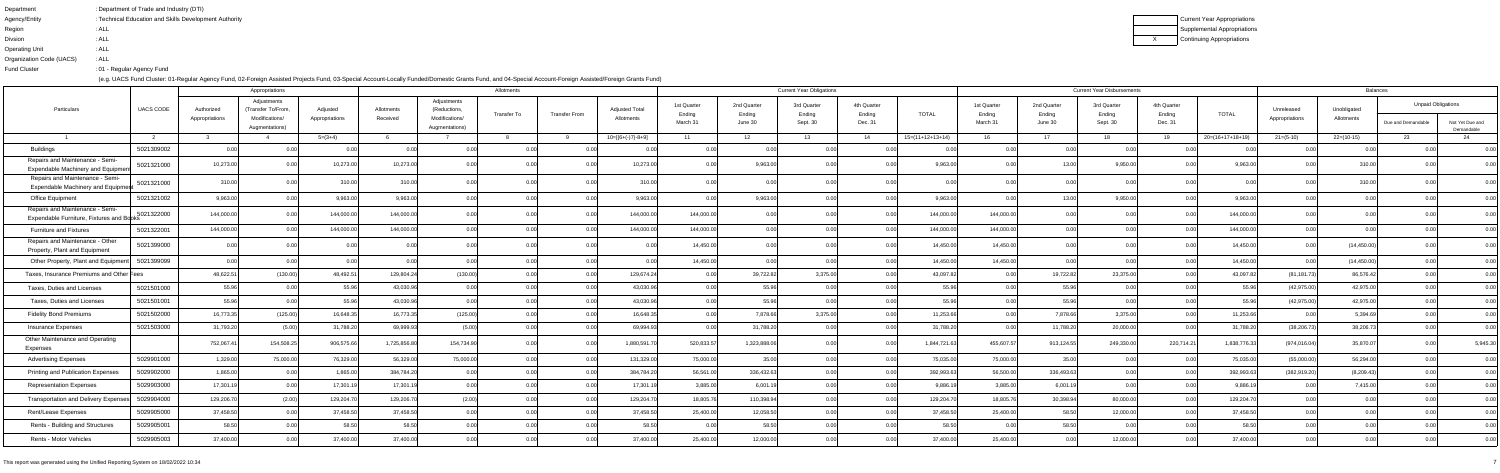| Department               | : Department of Trade and Industry (DTI)               |
|--------------------------|--------------------------------------------------------|
| Agency/Entity            | : Technical Education and Skills Development Authority |
| Region                   | : ALL                                                  |
| <b>Divsion</b>           | : ALL                                                  |
| <b>Operating Unit</b>    | : ALL                                                  |
| Organization Code (UACS) | : ALL                                                  |
| <b>Fund Cluster</b>      | : 01 - Regular Agency Fund                             |

Current Year Appropriations Supplemental AppropriationsContinuing Appropriations

|                                                                             |                  |                | Appropriations                    |                | Allotments  |                                  |                    |                      |                       |                       |                       | <b>Current Year Obligations</b> |                       |                    |                       | <b>Current Year Disbursements</b> | <b>Balances</b>       |                       |                    |                |              |                           |                               |
|-----------------------------------------------------------------------------|------------------|----------------|-----------------------------------|----------------|-------------|----------------------------------|--------------------|----------------------|-----------------------|-----------------------|-----------------------|---------------------------------|-----------------------|--------------------|-----------------------|-----------------------------------|-----------------------|-----------------------|--------------------|----------------|--------------|---------------------------|-------------------------------|
| Particulars                                                                 | <b>UACS CODE</b> | Authorized     | Adjustments<br>(Transfer To/From, | Adjusted       | Allotments  | Adjustments<br>(Reductions,      | <b>Transfer To</b> | <b>Transfer From</b> | <b>Adjusted Total</b> | 1st Quarter<br>Ending | 2nd Quarter<br>Ending | 3rd Quarter<br>Ending           | 4th Quarter<br>Ending | <b>TOTAL</b>       | 1st Quarter<br>Ending | 2nd Quarter<br>Ending             | 3rd Quarter<br>Ending | 4th Quarter<br>Ending | <b>TOTAL</b>       | Unreleased     | Unobligated  | <b>Unpaid Obligations</b> |                               |
|                                                                             |                  | Appropriations | Modifications/<br>Augmentations)  | Appropriations | Received    | Modifications/<br>Augmentations) |                    |                      | Allotments            | March 31              | June 30               | Sept. 30                        | Dec. 31               |                    | March 31              | June 30                           | Sept. 30              | Dec. 31               |                    | Appropriations | Allotments   | Due and Demandable        | Not Yet Due and<br>Demandable |
|                                                                             |                  |                |                                   | $5=(3+4)$      |             |                                  |                    |                      | 10=[{6+(-)7}-8+9]     | 11                    | 12 <sup>12</sup>      | 13                              | 14                    | $15=(11+12+13+14)$ | 16                    | 17                                | 18                    | 19                    | $20=(16+17+18+19)$ | $21 = (5-10)$  | $22=(10-15)$ |                           |                               |
| <b>Buildings</b>                                                            | 5021309002       |                |                                   |                |             |                                  |                    |                      |                       |                       |                       |                                 |                       |                    | 0.00l                 |                                   | 0.00                  |                       |                    |                |              |                           | 0.00                          |
| Repairs and Maintenance - Semi-<br>Expendable Machinery and Equipmer        | 5021321000       | 10,273.00      |                                   | 10,273.0       | 10,273.00   |                                  |                    |                      | 10,273.00             |                       | 9,963.00              |                                 |                       | 9,963.00           |                       |                                   | 9,950.00              |                       | 9,963.0            |                | 310.0        |                           |                               |
| Repairs and Maintenance - Semi-<br>Expendable Machinery and Equipmer        | 5021321000       | 310.0          |                                   | 310.           | 310.0       |                                  |                    |                      | 310.00                |                       |                       |                                 |                       |                    |                       |                                   |                       |                       |                    |                | 310.0        |                           |                               |
| <b>Office Equipment</b>                                                     | 5021321002       | 9,963.00       |                                   | 9,963.0        | 9,963.0     |                                  |                    |                      | 9,963.00              |                       | 9,963.00              |                                 |                       | 9,963.00           |                       |                                   | 9,950.00              |                       | 9,963.0            |                |              |                           |                               |
| Repairs and Maintenance - Semi-<br>Expendable Furniture, Fixtures and Books | 5021322000       | 144,000.0      |                                   | 144,000.       | 144,000.0   |                                  |                    |                      | 144,000.00            | 144,000.00            |                       |                                 |                       | 144,000.00         | 144,000.00            |                                   |                       |                       | 144,000.00         |                |              |                           |                               |
| <b>Furniture and Fixtures</b>                                               | 5021322001       | 144,000.0      |                                   | 144,000.       | 144,000.0   |                                  |                    |                      | 144,000.00            | 144,000.00            | 0.00                  |                                 |                       | 144,000.00         | 144,000.00            |                                   |                       |                       | 144,000.00         |                |              |                           |                               |
| Repairs and Maintenance - Other<br>Property, Plant and Equipment            | 5021399000       |                |                                   |                |             |                                  |                    |                      |                       | 14,450.00             | 0.00                  |                                 |                       | 14,450.00          | 14,450.00             |                                   |                       |                       | 14,450.00          |                | (14, 450.00) |                           |                               |
| Other Property, Plant and Equipment                                         | 5021399099       |                |                                   |                |             |                                  |                    |                      |                       | 14,450.00             | 0.00                  |                                 |                       | 14,450.00          | 14,450.00             |                                   | 0.OC                  |                       | 14,450.00          |                | (14, 450.00) |                           | 0.00                          |
| Taxes, Insurance Premiums and Other Fees                                    |                  | 48,622.5       | (130.00)                          | 48,492.5       | 129,804.2   | (130.00)                         |                    |                      | 129,674.24            |                       | 39,722.82             | 3,375.00                        |                       | 43,097.82          | 0.00                  | 19,722.82                         | 23,375.00             |                       | 43,097.82          | (81,181.73     | 86,576.42    |                           |                               |
| Taxes, Duties and Licenses                                                  | 5021501000       | 55.96          |                                   | 55.9           | 43,030.9    |                                  |                    |                      | 43,030.96             |                       | 55.96                 |                                 |                       | 55.96              | 0.00                  | 55.96                             | 0.00                  |                       | 55.96              | (42, 975.00)   | 42,975.00    |                           | 0.00                          |
| Taxes, Duties and Licenses                                                  | 5021501001       | 55.96          |                                   | 55.9           | 43,030.96   |                                  |                    |                      | 43,030.96             |                       | 55.96                 |                                 | 0.00                  | 55.96              | 0.00                  | 55.96                             | 0.00                  |                       | 55.96              | (42, 975.00)   | 42,975.00    |                           | 0.00                          |
| <b>Fidelity Bond Premiums</b>                                               | 5021502000       | 16,773.35      | (125.00)                          | 16,648.3       | 16,773.3    | (125.00)                         |                    |                      | 16,648.35             |                       | 7,878.66              | 3,375.00                        |                       | 11,253.66          | 0.00                  | 7,878.66                          | 3,375.00              |                       | 11,253.66          |                | 5,394.69     |                           |                               |
| <b>Insurance Expenses</b>                                                   | 5021503000       | 31,793.20      | (5.00)                            | 31,788.2       | 69,999.9    |                                  |                    |                      | 69,994.93             |                       | 31,788.20             |                                 |                       | 31,788.20          | 0.00                  | 11,788.20                         | 20,000.00             |                       | 31,788.20          | (38, 206.73)   | 38,206.73    |                           | 0.00                          |
| Other Maintenance and Operating<br>Expenses                                 |                  | 752,067.4      | 154,508.2                         | 906,575.6      | 1,725,856.8 | 154,734.90                       |                    |                      | 1,880,591.7           | 520,833.57            | 1,323,888.06          |                                 |                       | 1,844,721.63       | 455,607.57            | 913,124.55                        | 249,330.00            | 220,714.21            | 1,838,776.33       | (974, 016.04)  | 35,870.07    |                           | 5,945.30                      |
| <b>Advertising Expenses</b>                                                 | 5029901000       | 1,329.0        | 75,000.0                          | 76,329.0       | 56,329.0    | 75,000.0                         |                    |                      | 131,329.00            | 75,000.00             | 35.00                 |                                 |                       | 75,035.00          | 75,000.00             | 35.00                             |                       |                       | 75,035.00          | (55,000.00)    | 56,294.00    |                           | 0.00                          |
| <b>Printing and Publication Expenses</b>                                    | 5029902000       | 1,865.00       |                                   | 1,865.0        | 384,784.20  |                                  |                    |                      | 384,784.20            | 56,561.00             | 336,432.63            |                                 |                       | 392,993.63         | 56,500.00             | 336,493.63                        |                       |                       | 392,993.63         | (382, 919.20)  | (8,209.43)   |                           | 0.00                          |
| <b>Representation Expenses</b>                                              | 5029903000       | 17,301.19      |                                   | 17,301.1       | 17,301.19   |                                  | -0.001             | 0.001                | 17,301.19             | 3,885.00              | 6,001.19              | 0.00                            | 0.00                  | 9,886.19           | 3,885.00              | 6,001.19                          | 0.00                  | 0.00                  | 9,886.19           |                | 7,415.00     | 0.001                     | 0.00                          |
| Transportation and Delivery Expenses                                        | 5029904000       | 129,206.70     | (2.00)                            | 129,204.7      | 129,206.7   |                                  |                    |                      | 129,204.70            | 18,805.76             | 110,398.94            |                                 |                       | 129,204.70         | 18,805.76             | 30,398.94                         | 80,000.00             |                       | 129,204.70         |                |              |                           | 0.00                          |
| Rent/Lease Expenses                                                         | 5029905000       | 37,458.50      |                                   | 37,458.50      | 37,458.50   |                                  |                    |                      | 37,458.50             | 25,400.00             | 12,058.50             |                                 | 0.00 <sub>l</sub>     | 37,458.50          | 25,400.00             | 58.50                             | 12,000.00             | 0.00                  | 37,458.50          |                |              |                           | 0.00                          |
| Rents - Building and Structures                                             | 5029905001       | 58.50          |                                   | 58.50          | 58.50       |                                  |                    |                      | 58.50                 | 0.00                  | 58.50                 | 0.00                            | 0.001                 | 58.50              | 0.00 <sub>l</sub>     | 58.50                             | 0.00                  |                       | 58.50              |                |              |                           | 0.00                          |
| Rents - Motor Vehicles                                                      | 5029905003       | 37,400.00      | 0.00                              | 37,400.0       | 37,400.0    |                                  |                    |                      | 37,400.00             | 25,400.00             | 12,000.00             |                                 | 0.00                  | 37,400.00          | 25,400.00             | 0.00                              | 12,000.00             | 0.00                  | 37,400.00          |                |              |                           | 0.00                          |
|                                                                             |                  |                |                                   |                |             |                                  |                    |                      |                       |                       |                       |                                 |                       |                    |                       |                                   |                       |                       |                    |                |              |                           |                               |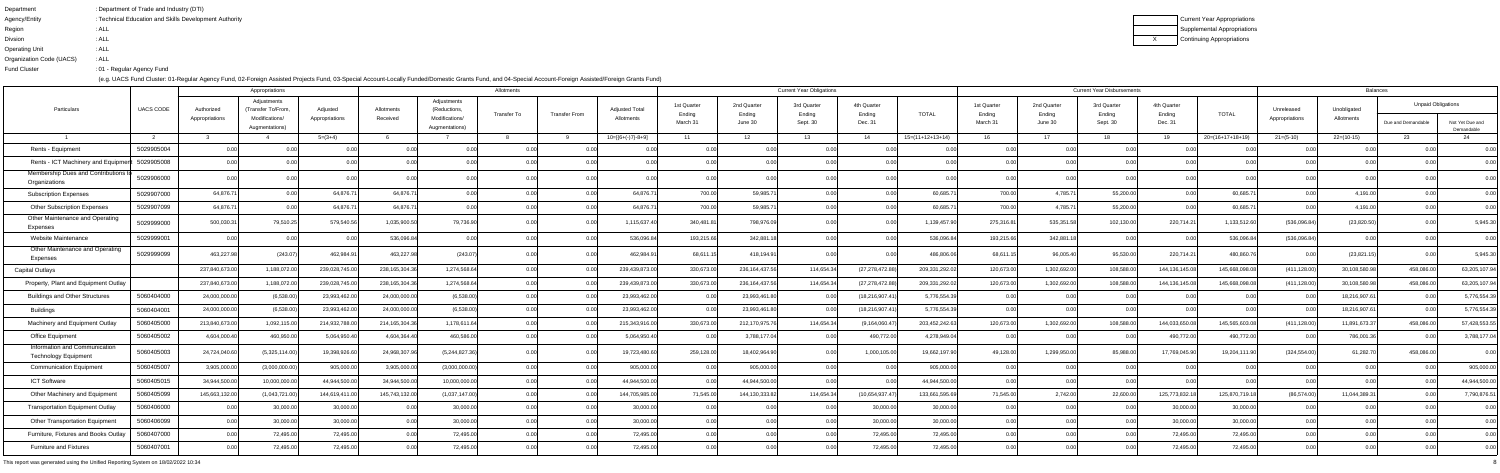| Department               | : Department of Trade and Industry (DTI)               |
|--------------------------|--------------------------------------------------------|
| Agency/Entity            | : Technical Education and Skills Development Authority |
| Region                   | : ALL                                                  |
| <b>Divsion</b>           | : ALL                                                  |
| <b>Operating Unit</b>    | : ALL                                                  |
| Organization Code (UACS) | : ALL                                                  |
| <b>Fund Cluster</b>      | : 01 - Regular Agency Fund                             |

|                                                              |                  |                              | Appropriations                                                        |                            |                        |                                                                 | Allotments                          |  |                                     |                                   |                                  | <b>Current Year Obligations</b>   |                                  |                    |                                   | <b>Current Year Disbursements</b> | <b>Balances</b>                   |                                  |                    |                              |                           |                                                 |                               |  |
|--------------------------------------------------------------|------------------|------------------------------|-----------------------------------------------------------------------|----------------------------|------------------------|-----------------------------------------------------------------|-------------------------------------|--|-------------------------------------|-----------------------------------|----------------------------------|-----------------------------------|----------------------------------|--------------------|-----------------------------------|-----------------------------------|-----------------------------------|----------------------------------|--------------------|------------------------------|---------------------------|-------------------------------------------------|-------------------------------|--|
| Particulars                                                  | <b>UACS CODE</b> | Authorized<br>Appropriations | Adjustments<br>(Transfer To/From,<br>Modifications/<br>Augmentations) | Adjusted<br>Appropriations | Allotments<br>Received | Adjustments<br>(Reductions,<br>Modifications/<br>Augmentations) | Transfer To<br><b>Transfer From</b> |  | <b>Adjusted Total</b><br>Allotments | 1st Quarter<br>Ending<br>March 31 | 2nd Quarter<br>Ending<br>June 30 | 3rd Quarter<br>Ending<br>Sept. 30 | 4th Quarter<br>Ending<br>Dec. 31 | <b>TOTAL</b>       | 1st Quarter<br>Ending<br>March 31 | 2nd Quarter<br>Ending<br>June 30  | 3rd Quarter<br>Ending<br>Sept. 30 | 4th Quarter<br>Ending<br>Dec. 31 | <b>TOTAL</b>       | Unreleased<br>Appropriations | Unobligated<br>Allotments | <b>Unpaid Obligations</b><br>Due and Demandable | Not Yet Due and<br>Demandable |  |
|                                                              | $\overline{2}$   |                              |                                                                       | $5=(3+4)$                  |                        |                                                                 |                                     |  | $10=[(6+(-)7)-8+9]$                 | 11                                | 12 <sup>7</sup>                  | 13                                | 14                               | $15=(11+12+13+14)$ | 16                                | 17                                | 18.                               | 19                               | $20=(16+17+18+19)$ | $21 = (5-10)$                | 22=(10-15)                | -23                                             |                               |  |
| Rents - Equipment                                            | 5029905004       |                              |                                                                       |                            |                        |                                                                 |                                     |  |                                     |                                   |                                  |                                   |                                  |                    | 0.00                              |                                   | 0.00                              |                                  |                    |                              |                           |                                                 |                               |  |
| Rents - ICT Machinery and Equipme                            | 5029905008       |                              |                                                                       |                            |                        |                                                                 |                                     |  |                                     |                                   |                                  |                                   |                                  |                    |                                   |                                   |                                   |                                  |                    |                              |                           |                                                 | 0.00                          |  |
| Membership Dues and Contributions<br>Organizations           | 5029906000       |                              |                                                                       |                            |                        |                                                                 |                                     |  |                                     |                                   | 0.00                             |                                   |                                  |                    | 0.001                             |                                   | 0.00                              |                                  |                    |                              |                           |                                                 | 0.00                          |  |
| <b>Subscription Expenses</b>                                 | 5029907000       | 64,876.7                     |                                                                       | 64,876.7                   | 64,876.7               |                                                                 |                                     |  | 64,876.7                            | 700.00                            | 59,985.7                         |                                   |                                  | 60,685.            | 700.00                            | 4,785.7                           | 55,200.00                         |                                  | 60,685.7           |                              | 4,191.0                   |                                                 |                               |  |
| <b>Other Subscription Expenses</b>                           | 5029907099       | 64,876.7                     |                                                                       | 64,876.7                   | 64,876.7               |                                                                 |                                     |  | 64,876.7                            | 700.00                            | 59,985.7                         |                                   |                                  | 60,685.7           | 700.00                            | 4,785.71                          | 55,200.00                         | n oc                             | 60,685.7           |                              | 4,191.00                  |                                                 | 0.00                          |  |
| <b>Other Maintenance and Operating</b><br>Expenses           | 5029999000       | 500,030.3                    | 79,510.25                                                             | 579,540.5                  | 1,035,900.             | 79,736.90                                                       |                                     |  | 1,115,637.40                        | 340,481.81                        | 798,976.09                       |                                   | 0.00                             | 1,139,457.90       | 275,316.81                        | 535,351.58                        | 102,130.00                        | 220,714.21                       | 1,133,512.60       | (536,096.84)                 | (23,820.50)               |                                                 | 5,945.30                      |  |
| Website Maintenance                                          | 5029999001       |                              |                                                                       |                            | 536,096.8              |                                                                 |                                     |  | 536,096.8                           | 193,215.66                        | 342,881.1                        |                                   |                                  | 536,096.84         | 193,215.66                        | 342,881.1                         | 0.00                              |                                  | 536,096.84         | (536,096.84)                 |                           |                                                 | $_{0.00}$                     |  |
| Other Maintenance and Operating<br>Expenses                  | 5029999099       | 463,227.98                   | (243.07)                                                              | 462,984.9                  | 463,227.               | (243.0)                                                         |                                     |  | 462,984.91                          | 68,611.                           | 418,194.91                       |                                   |                                  | 486,806.06         | 68,611.1                          | 96,005.40                         | 95,530.00                         | 220,714.21                       | 480,860.           |                              | (23, 821.15               |                                                 | 5,945.30                      |  |
| <b>Capital Outlays</b>                                       |                  | 237,840,673.0                | 1,188,072.0                                                           | 239,028,745.0              | 238, 165, 304. 3       | 1,274,568.6                                                     |                                     |  | 239,439,873.0                       | 330,673.00                        | 236, 164, 437.56                 | 114,654.34                        | (27, 278, 472.88)                | 209,331,292.02     | 120,673.00                        | 1,302,692.00                      | 108,588.00                        | 144, 136, 145.                   | 145,668,098.0      | (411, 128.00)                | 30,108,580.98             | 458,086.0                                       | 63,205,107.94                 |  |
| Property, Plant and Equipment Outlay                         |                  | 237,840,673.00               | 1,188,072.0                                                           | 239,028,745.0              | 238, 165, 304. 3       | 1,274,568.64                                                    |                                     |  | 239,439,873.0                       | 330,673.00                        | 236,164,437.56                   | 114,654.34                        | (27, 278, 472.88)                | 209,331,292.02     | 120,673.00                        | 1,302,692.00                      | 108,588.00                        | 144,136,145.08                   | 145,668,098.08     | (411, 128.00)                | 30,108,580.98             | 458,086.00                                      | 63,205,107.94                 |  |
| <b>Buildings and Other Structures</b>                        | 5060404000       | 24,000,000.00                | (6,538.00)                                                            | 23,993,462.0               | 24,000,000.0           | (6,538.00)                                                      | 0.00                                |  | 23,993,462.00                       | 0.00 <sub>l</sub>                 | 23,993,461.80                    | 0.00                              | (18, 216, 907.4                  | 5,776,554.39       | 0.00                              | 0.00                              | 0.00                              |                                  |                    |                              | 18,216,907.61             | 0.00                                            | 5,776,554.39                  |  |
| <b>Buildings</b>                                             | 5060404001       | 24,000,000.00                | (6,538.00)                                                            | 23,993,462.0               | 24,000,000.0           | (6,538.00)                                                      |                                     |  | 23,993,462.0                        | 0.00                              | 23,993,461.80                    |                                   | (18, 216, 907.4                  | 5,776,554.39       | 0.00                              |                                   | 0.00                              |                                  |                    |                              | 18,216,907.61             | 0.00                                            | 5,776,554.39                  |  |
| Machinery and Equipment Outlay                               | 5060405000       | 213,840,673.00               | 1,092,115.0                                                           | 214,932,788.0              | 214, 165, 304. 3       | 1,178,611.6                                                     |                                     |  | 215,343,916.00                      | 330,673.00                        | 212,170,975.76                   | 114,654.34                        | (9, 164, 060.47)                 | 203,452,242.63     | 120,673.00                        | 1,302,692.00                      | 108,588.00                        | 144,033,650.0                    | 145,565,603.08     | (411, 128.00)                | 11,891,673.3              | 458,086.00                                      | 57,428,553.55                 |  |
| <b>Office Equipment</b>                                      | 5060405002       | 4,604,000.40                 | 460,950.0                                                             | 5,064,950.4                | 4,604,364.4            | 460,586.0                                                       | 0.00                                |  | 5,064,950.40                        | 0.00                              | 3,788,177.04                     | 0.00                              | 490,772.00                       | 4,278,949.04       | 0.00                              | 0.00                              | 0.00                              | 490,772.00                       | 490,772.00         |                              | 786,001.36                |                                                 | 3,788,177.04                  |  |
| Information and Communication<br><b>Technology Equipment</b> | 5060405003       | 24,724,040.60                | (5,325,114.00)                                                        | 19,398,926.6               | 24,968,307.            | (5,244,827.36)                                                  |                                     |  | 19,723,480.60                       | 259,128.00                        | 18,402,964.90                    |                                   | 1,000,105.00                     | 19,662,197.90      | 49,128.00                         | 1,299,950.00                      | 85,988.00                         | 17,769,045.90                    | 19,204,111.90      | (324, 554.00)                | 61,282.70                 | 458,086.0                                       | 0.00                          |  |
| <b>Communication Equipmen</b>                                | 5060405007       | 3,905,000.00                 | (3,000,000.00)                                                        | 905,000.0                  | 3,905,000.0            | (3,000,000.00)                                                  | 0.00                                |  | 905,000.0                           | 0.00                              | 905,000.00                       |                                   | 0.00                             | 905,000.00         | 0.00                              | 0.00                              | 0.00                              |                                  |                    |                              |                           |                                                 | 905,000.00                    |  |
| <b>ICT Software</b>                                          | 5060405015       | 34,944,500.00                | 10.000.000.0                                                          | 44,944,500.0               | 34.944.500.0           | 10,000,000.                                                     |                                     |  | 44.944.500.00                       | 0. UU                             | 44.944.500.00                    | 0.00                              | 0.00                             | 44.944.500.00      | 0.00l                             | 0.00                              | 0.00                              | ስ ሰሰ                             |                    |                              |                           |                                                 | 44,944,500.00                 |  |
| Other Machinery and Equipment                                | 5060405099       | 145,663,132.00               | (1,043,721.00)                                                        | 144,619,411.0              | 145,743,132.0          | (1,037,147.00)                                                  |                                     |  | 144,705,985.00                      | 71,545.00                         | 144,130,333.82                   | 114,654.34                        | (10,654,937.47)                  | 133,661,595.69     | 71,545.00                         | 2,742.00                          | 22,600.00                         | 125,773,832.18                   | 125,870,719.18     | (86,574.00)                  | 11,044,389.3              |                                                 | 7,790,876.51                  |  |
| <b>Transportation Equipment Outlay</b>                       | 5060406000       |                              | 30,000.00                                                             | 30,000.0                   |                        | 30,000.0                                                        |                                     |  | 30,000.0                            | 0.00                              | 0.00                             | 0.00                              | 30,000.00                        | 30,000.00          | 0.00                              | 0.00                              | 0.00                              | 30,000.00                        | 30,000.00          |                              |                           |                                                 | 0.00                          |  |
| <b>Other Transportation Equipment</b>                        | 5060406099       | 0.00                         | 30,000.00                                                             | 30,000.00                  |                        | 30,000.0                                                        |                                     |  | 30,000.00                           | 0.00                              | 0.00                             | 0.00                              | 30,000.00                        | 30,000.00          | 0.00                              | 0.00                              | 0.00                              | 30,000.00                        | 30,000.00          |                              |                           |                                                 | 0.00                          |  |
| Furniture, Fixtures and Books Outlay                         | 5060407000       | 0.00                         | 72,495.00                                                             | 72,495.00                  |                        | 72,495.0                                                        |                                     |  | 72,495.00                           | 0.00                              | 0.00                             |                                   | 72,495.00                        | 72,495.00          | 0.00                              | 0.00                              | 0.00                              | 72,495.00                        | 72,495.00          |                              |                           |                                                 | 0.00                          |  |
| <b>Furniture and Fixtures</b>                                | 5060407001       | 0.00                         | 72,495.00                                                             | 72,495.00                  |                        | 72,495.00                                                       |                                     |  | 72,495.00                           | 0.00                              | 0.00                             | 0.00                              | 72,495.00                        | 72,495.00          | $0.00\vert$                       | 0.00                              | 0.00                              | 72,495.00                        | 72,495.00          |                              |                           |                                                 | 0.00                          |  |
|                                                              |                  |                              |                                                                       |                            |                        |                                                                 |                                     |  |                                     |                                   |                                  |                                   |                                  |                    |                                   |                                   |                                   |                                  |                    |                              |                           |                                                 |                               |  |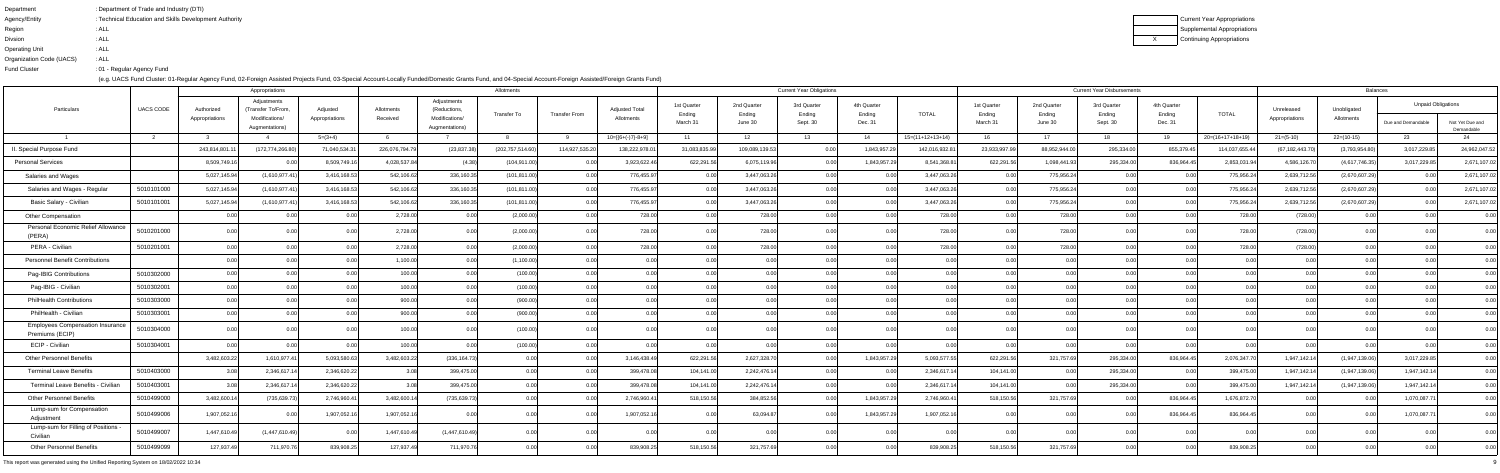| Department               | : Department of Trade and Industry (DTI)               |
|--------------------------|--------------------------------------------------------|
| Agency/Entity            | : Technical Education and Skills Development Authority |
| Region                   | : ALL                                                  |
| <b>Divsion</b>           | : ALL                                                  |
| <b>Operating Unit</b>    | : ALL                                                  |
| Organization Code (UACS) | : ALL                                                  |
| <b>Fund Cluster</b>      | : 01 - Regular Agency Fund                             |

Current Year Appropriations Supplemental AppropriationsContinuing Appropriations

|                                                           |                  |                              | Appropriations                                                       |                            |                        |                                                                 | Allotments         |                      |                                     |                                   |                                  | <b>Current Year Obligations</b>   |                                  |                    |                                   | <b>Current Year Disbursements</b> | <b>Balances</b>                   |                                  |                    |                              |                           |                                                 |                               |
|-----------------------------------------------------------|------------------|------------------------------|----------------------------------------------------------------------|----------------------------|------------------------|-----------------------------------------------------------------|--------------------|----------------------|-------------------------------------|-----------------------------------|----------------------------------|-----------------------------------|----------------------------------|--------------------|-----------------------------------|-----------------------------------|-----------------------------------|----------------------------------|--------------------|------------------------------|---------------------------|-------------------------------------------------|-------------------------------|
| Particulars                                               | <b>UACS CODE</b> | Authorized<br>Appropriations | Adjustments<br>(Transfer To/From<br>Modifications/<br>Augmentations) | Adjusted<br>Appropriations | Allotments<br>Received | Adjustments<br>(Reductions,<br>Modifications/<br>Augmentations) | <b>Transfer To</b> | <b>Transfer From</b> | <b>Adjusted Total</b><br>Allotments | 1st Quarter<br>Ending<br>March 31 | 2nd Quarter<br>Ending<br>June 30 | 3rd Quarter<br>Ending<br>Sept. 30 | 4th Quarter<br>Ending<br>Dec. 31 | <b>TOTAL</b>       | 1st Quarter<br>Ending<br>March 31 | 2nd Quarter<br>Ending<br>June 30  | 3rd Quarter<br>Ending<br>Sept. 30 | 4th Quarter<br>Ending<br>Dec. 31 | <b>TOTAL</b>       | Unreleased<br>Appropriations | Unobligated<br>Allotments | <b>Unpaid Obligations</b><br>Due and Demandable | Not Yet Due and<br>Demandable |
|                                                           |                  |                              |                                                                      | $5=(3+4)$                  |                        |                                                                 |                    |                      | $10=[6+(-)7]-8+9]$                  | 11                                | 12 <sup>°</sup>                  | 13                                | 14                               | $15=(11+12+13+14)$ | 16                                | 17                                | 18                                | 19                               | $20=(16+17+18+19)$ | $21 = (5-10)$                | $22=(10-15)$              |                                                 |                               |
| I. Special Purpose Fund                                   |                  | 243,814,801.                 | (172,774,266.80                                                      | 71,040,534.3               | 226,076,794.7          | (23, 837.38)                                                    | (202,757,514.60    | 114,927,535.2        | 138,222,978.0                       | 31,083,835.9                      | 109,089,139.53                   | 0.00                              | 1,843,957.29                     | 142,016,932.81     | 23,933,997.99                     | 88,952,944.00                     | 295,334.00                        | 855,379.45                       | 114,037,655.44     | (67, 182, 443.7)             | (3,793,954.80)            | 3,017,229.85                                    | 24,962,047.52                 |
| <b>Personal Services</b>                                  |                  | 8,509,749.1                  |                                                                      | 8,509,749.1                | 4,028,537.8            |                                                                 | (104, 911.0        |                      | 3,923,622.                          | 622,291.5                         | 6,075,119.96                     | 0.00                              | 1,843,957.2                      | 8,541,368.81       | 622,291.56                        | 1,098,441.93                      | 295,334.00                        | 836,964.45                       | 2,853,031.94       | 4,586,126.7                  | (4,617,746.35)            | 3,017,229.85                                    | 2,671,107.02                  |
| Salaries and Wages                                        |                  | 5,027,145.9                  | (1,610,977.41)                                                       | 3,416,168.5                | 542,106.62             | 336,160.3                                                       | (101, 811.00)      |                      | 776,455.9                           |                                   | 3,447,063.26                     |                                   | 0.00                             | 3,447,063.26       | 0.00                              | 775,956.24                        | 0.00                              | 0.00                             | 775,956.24         | 2,639,712.56                 | (2,670,607.29)            |                                                 | 2,671,107.02                  |
| Salaries and Wages - Regular                              | 5010101000       | 5,027,145.94                 | (1,610,977.41)                                                       | 3,416,168.5                | 542,106.62             | 336,160.3                                                       | (101, 811.00)      | $\cap$ $\cap$        | 776,455.9                           | 0.00                              | 3,447,063.26                     | 0.00                              | 0.00                             | 3,447,063.26       | 0.00                              | 775,956.24                        | 0.00l                             | 0.00                             | 775,956.24         | 2,639,712.56                 | (2,670,607.29)            |                                                 | 2,671,107.02                  |
| Basic Salary - Civilian                                   | 5010101001       | 5,027,145.94                 | (1,610,977.4)                                                        | 3,416,168.5                | 542,106.6              | 336,160.3                                                       | (101, 811.0        |                      | 776,455.9                           |                                   | 3,447,063.26                     |                                   | 0.00                             | 3,447,063.26       | 0.00                              | 775,956.24                        | 0.00                              | 0.00                             | 775,956.24         | 2,639,712.56                 | (2,670,607.29)            |                                                 | 2,671,107.02                  |
| Other Compensation                                        |                  |                              |                                                                      |                            | 2,728.0                |                                                                 | (2,000.00)         |                      | 728.0                               |                                   | 728.00                           |                                   |                                  | 728.00             |                                   | 728.00                            |                                   |                                  | 728.00             | (728.00)                     |                           |                                                 | 0.00                          |
| Personal Economic Relief Allowance<br>(PERA)              | 5010201000       |                              |                                                                      |                            | 2,728.0                |                                                                 | (2,000.00)         |                      | 728.0                               |                                   | 728.00                           |                                   |                                  | 728.00             |                                   | 728.00                            |                                   |                                  | 728.00             | (728.00)                     |                           |                                                 | 0.00                          |
| PERA - Civilian                                           | 5010201001       |                              |                                                                      |                            | 2,728.0                |                                                                 | (2,000.0)          |                      | 728.0                               |                                   | 728.00                           |                                   |                                  | 728.00             |                                   | 728.00                            |                                   |                                  | 728.00             | (728.00)                     |                           |                                                 |                               |
| <b>Personnel Benefit Contributions</b>                    |                  |                              | 0.00                                                                 |                            | 1,100.00               |                                                                 | (1,100.00)         |                      |                                     |                                   | 0.00                             |                                   | 0.00                             |                    | 0.00                              |                                   | 0.00                              |                                  | 0.00               |                              |                           |                                                 | 0.00                          |
| Pag-IBIG Contributions                                    | 5010302000       |                              | 0.00                                                                 |                            | 100.00                 |                                                                 | (100.00)           |                      | 0.00                                |                                   | 0.00                             |                                   | 0.00                             |                    | 0.00                              |                                   | 0.00                              | ງ ດດ                             | 0.00               |                              |                           |                                                 | 0.00                          |
| Pag-IBIG - Civilian                                       | 5010302001       |                              |                                                                      |                            | 100.0                  |                                                                 | (100.00)           |                      |                                     |                                   |                                  |                                   |                                  |                    |                                   |                                   |                                   |                                  |                    |                              |                           |                                                 | 0.00                          |
| <b>PhilHealth Contributions</b>                           | 5010303000       |                              |                                                                      |                            | 900.0                  |                                                                 | (900.00)           |                      |                                     |                                   |                                  |                                   | 0.00                             |                    |                                   |                                   | 0.00                              |                                  |                    |                              |                           |                                                 | 0.00                          |
| PhilHealth - Civilian                                     | 5010303001       |                              | 0.00                                                                 |                            | 900.0                  |                                                                 | (900.00)           |                      |                                     |                                   | 0.00                             |                                   | 0.001                            |                    |                                   |                                   | 0.00                              |                                  | 0.OC               |                              |                           |                                                 | 0.00                          |
| <b>Employees Compensation Insurance</b><br>Premiums (ECIP | 5010304000       |                              |                                                                      |                            | 100.0                  |                                                                 | (100.00)           |                      |                                     |                                   |                                  |                                   |                                  |                    |                                   |                                   |                                   |                                  |                    |                              |                           |                                                 |                               |
| ECIP - Civilian                                           | 5010304001       |                              |                                                                      |                            | 100.0                  |                                                                 | (100.00)           |                      |                                     |                                   |                                  | 0.00                              | 0.00                             |                    | 0.00                              |                                   | 0.00                              | 0.00                             | 0.00               | n nr                         |                           |                                                 |                               |
| <b>Other Personnel Benefits</b>                           |                  | 3,482,603.22                 | 1,610,977.4                                                          | 5,093,580.63               | 3,482,603.22           | (336, 164.73)                                                   |                    |                      | 3,146,438.4                         | 622,291.5                         | 2,627,328.70                     | 0.001                             | 1,843,957.29                     | 5,093,577.55       | 622,291.56                        | 321,757.69                        | 295,334.00                        | 836,964.45                       | 2,076,347.70       | 1,947,142.14                 | (1,947,139.06)            | 3,017,229.85                                    | 0.00                          |
| <b>Terminal Leave Benefits</b>                            | 5010403000       |                              | 2,346,617                                                            | 2,346,620.2                |                        | 399,475.0                                                       |                    |                      | 399,478.0                           | 104,141.0                         | 2,242,476.14                     |                                   |                                  | 2,346,617.1        | 104,141.00                        |                                   | 295,334.00                        |                                  | 399,475.00         | 1,947,142.                   | (1,947,139.06)            | 1,947,142.1                                     |                               |
| Terminal Leave Benefits - Civilian                        | 5010403001       |                              | 2,346,617.1                                                          | 2,346,620.22               |                        | 399,475.0                                                       |                    |                      | 399,478.08                          | 104,141.00                        | 2,242,476.14                     | <b>U.UU</b>                       |                                  | 2,346,617.1        | 104,141.00                        | <b>U.UU</b>                       | 295,334.00                        | <b>U.UU</b>                      | 399,475.00         | 1,947,142.14                 | (1,947,139.06)            | 1,947,142.14                                    | <b>U.UU</b>                   |
| <b>Other Personnel Benefits</b>                           | 5010499000       | 3,482,600.14                 | (735, 639.73)                                                        | 2,746,960.41               | 3,482,600.1            | (735, 639.73)                                                   | $\cap$ $\cap$      | $\cap$               | 2,746,960.4                         | 518,150.56                        | 384,852.56                       | 0.00                              | 1,843,957.29                     | 2,746,960.41       | 518,150.56                        | 321,757.69                        | 0.00                              | 836,964.45                       | 1,676,872.70       | 0.00                         |                           | 1,070,087.71                                    | 0.00                          |
| Lump-sum for Compensation<br>Adjustment                   | 5010499006       | 1,907,052.16                 |                                                                      | 1,907,052.1                | 1,907,052.1            |                                                                 |                    |                      | 1,907,052.1                         |                                   | 63,094.87                        |                                   | 1,843,957.29                     | 1,907,052.16       |                                   |                                   | 0.001                             | 836,964.45                       | 836,964.45         |                              |                           | 1,070,087.                                      | 0.00                          |
| Lump-sum for Filling of Positions -<br>Civilian           | 5010499007       | 1,447,610.49                 | (1,447,610.49)                                                       |                            | 1,447,610.49           | (1,447,610.49)                                                  | 0 <sub>0</sub>     |                      |                                     |                                   |                                  |                                   |                                  |                    | 0.00                              |                                   | 0.00                              | 0.001                            |                    |                              |                           |                                                 | 0.00                          |
| <b>Other Personnel Benefits</b>                           | 5010499099       | 127,937.49                   | 711,970.76                                                           | 839,908.25                 | 127,937.4              | 711,970.7                                                       | 0.0                |                      | 839,908.2                           | 518,150.56                        | 321,757.69                       | 0.00                              | 0.00                             | 839,908.25         | 518,150.56                        | 321,757.69                        | $0.00\vert$                       | 0.00                             | 839,908.25         | 0.00                         |                           |                                                 | 0.00                          |